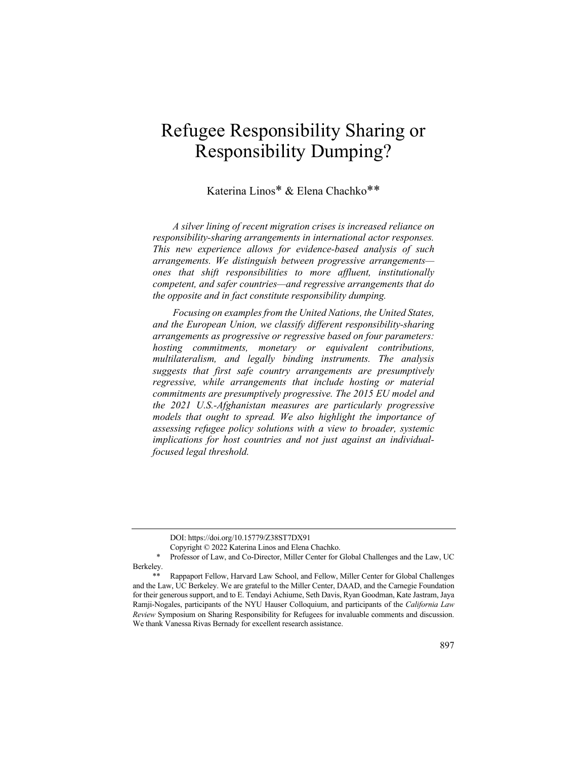# Refugee Responsibility Sharing or Responsibility Dumping?

## Katerina Linos\* & Elena Chachko\*\*

*A silver lining of recent migration crises is increased reliance on responsibility-sharing arrangements in international actor responses. This new experience allows for evidence-based analysis of such arrangements. We distinguish between progressive arrangements ones that shift responsibilities to more affluent, institutionally competent, and safer countries—and regressive arrangements that do the opposite and in fact constitute responsibility dumping.*

*Focusing on examples from the United Nations, the United States, and the European Union, we classify different responsibility-sharing arrangements as progressive or regressive based on four parameters: hosting commitments, monetary or equivalent contributions, multilateralism, and legally binding instruments. The analysis suggests that first safe country arrangements are presumptively regressive, while arrangements that include hosting or material commitments are presumptively progressive. The 2015 EU model and the 2021 U.S.-Afghanistan measures are particularly progressive models that ought to spread. We also highlight the importance of assessing refugee policy solutions with a view to broader, systemic implications for host countries and not just against an individualfocused legal threshold.*

DOI: https://doi.org/10.15779/Z38ST7DX91

Copyright © 2022 Katerina Linos and Elena Chachko.

Professor of Law, and Co-Director, Miller Center for Global Challenges and the Law, UC Berkeley.

<sup>\*\*</sup> Rappaport Fellow, Harvard Law School, and Fellow, Miller Center for Global Challenges and the Law, UC Berkeley. We are grateful to the Miller Center, DAAD, and the Carnegie Foundation for their generous support, and to E. Tendayi Achiume, Seth Davis, Ryan Goodman, Kate Jastram, Jaya Ramji-Nogales, participants of the NYU Hauser Colloquium, and participants of the *California Law Review* Symposium on Sharing Responsibility for Refugees for invaluable comments and discussion. We thank Vanessa Rivas Bernady for excellent research assistance.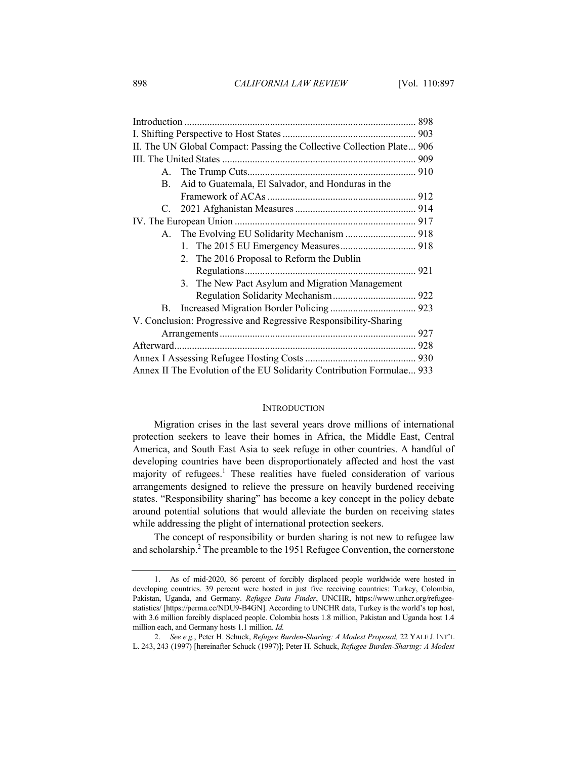| II. The UN Global Compact: Passing the Collective Collection Plate 906 |  |
|------------------------------------------------------------------------|--|
|                                                                        |  |
|                                                                        |  |
| Aid to Guatemala, El Salvador, and Honduras in the<br>B.               |  |
|                                                                        |  |
|                                                                        |  |
|                                                                        |  |
|                                                                        |  |
|                                                                        |  |
| 2. The 2016 Proposal to Reform the Dublin                              |  |
|                                                                        |  |
| 3. The New Pact Asylum and Migration Management                        |  |
|                                                                        |  |
|                                                                        |  |
| V. Conclusion: Progressive and Regressive Responsibility-Sharing       |  |
|                                                                        |  |
|                                                                        |  |
|                                                                        |  |
| Annex II The Evolution of the EU Solidarity Contribution Formulae 933  |  |

#### INTRODUCTION

Migration crises in the last several years drove millions of international protection seekers to leave their homes in Africa, the Middle East, Central America, and South East Asia to seek refuge in other countries. A handful of developing countries have been disproportionately affected and host the vast majority of refugees.<sup>1</sup> These realities have fueled consideration of various arrangements designed to relieve the pressure on heavily burdened receiving states. "Responsibility sharing" has become a key concept in the policy debate around potential solutions that would alleviate the burden on receiving states while addressing the plight of international protection seekers.

The concept of responsibility or burden sharing is not new to refugee law and scholarship.<sup>2</sup> The preamble to the 1951 Refugee Convention, the cornerstone

<sup>1.</sup> As of mid-2020, 86 percent of forcibly displaced people worldwide were hosted in developing countries. 39 percent were hosted in just five receiving countries: Turkey, Colombia, Pakistan, Uganda, and Germany. *Refugee Data Finder*, UNCHR, https://www.unhcr.org/refugeestatistics/ [https://perma.cc/NDU9-B4GN]. According to UNCHR data, Turkey is the world's top host, with 3.6 million forcibly displaced people. Colombia hosts 1.8 million, Pakistan and Uganda host 1.4 million each, and Germany hosts 1.1 million. *Id.*

<sup>2.</sup> *See e.g.*, Peter H. Schuck, *Refugee Burden-Sharing: A Modest Proposal,* 22 YALE J. INT'L L. 243, 243 (1997) [hereinafter Schuck (1997)]; Peter H. Schuck, *Refugee Burden-Sharing: A Modest*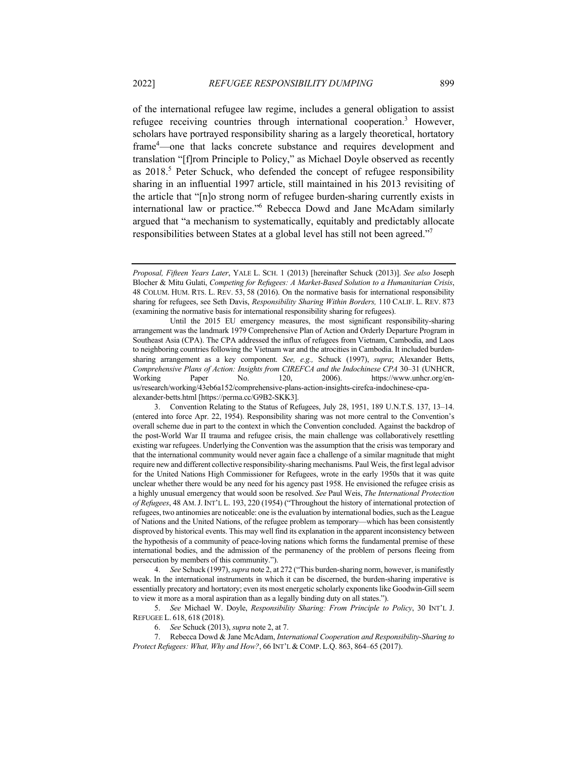of the international refugee law regime, includes a general obligation to assist refugee receiving countries through international cooperation.<sup>3</sup> However, scholars have portrayed responsibility sharing as a largely theoretical, hortatory frame4 —one that lacks concrete substance and requires development and translation "[f]rom Principle to Policy," as Michael Doyle observed as recently as 2018.<sup>5</sup> Peter Schuck, who defended the concept of refugee responsibility sharing in an influential 1997 article, still maintained in his 2013 revisiting of the article that "[n]o strong norm of refugee burden-sharing currently exists in international law or practice."6 Rebecca Dowd and Jane McAdam similarly argued that "a mechanism to systematically, equitably and predictably allocate responsibilities between States at a global level has still not been agreed."<sup>7</sup>

4. *See* Schuck (1997), *supra* note 2, at 272 ("This burden-sharing norm, however, is manifestly weak. In the international instruments in which it can be discerned, the burden-sharing imperative is essentially precatory and hortatory; even its most energetic scholarly exponents like Goodwin-Gill seem to view it more as a moral aspiration than as a legally binding duty on all states.").

5. *See* Michael W. Doyle, *Responsibility Sharing: From Principle to Policy*, 30 INT'L J. REFUGEE L. 618, 618 (2018).

6. *See* Schuck (2013), *supra* note 2, at 7.

7. Rebecca Dowd & Jane McAdam, *International Cooperation and Responsibility-Sharing to Protect Refugees: What, Why and How?*, 66 INT'L & COMP. L.Q. 863, 864–65 (2017).

*Proposal, Fifteen Years Later*, YALE L. SCH. 1 (2013) [hereinafter Schuck (2013)]. *See also* Joseph Blocher & Mitu Gulati, *Competing for Refugees: A Market-Based Solution to a Humanitarian Crisis*, 48 COLUM. HUM. RTS. L. REV. 53, 58 (2016). On the normative basis for international responsibility sharing for refugees, see Seth Davis, *Responsibility Sharing Within Borders,* 110 CALIF. L. REV. 873 (examining the normative basis for international responsibility sharing for refugees).

Until the 2015 EU emergency measures, the most significant responsibility-sharing arrangement was the landmark 1979 Comprehensive Plan of Action and Orderly Departure Program in Southeast Asia (CPA). The CPA addressed the influx of refugees from Vietnam, Cambodia, and Laos to neighboring countries following the Vietnam war and the atrocities in Cambodia. It included burdensharing arrangement as a key component. *See, e.g.,* Schuck (1997), *supra*; Alexander Betts, *Comprehensive Plans of Action: Insights from CIREFCA and the Indochinese CPA* 30–31 (UNHCR, Working Paper No. 120, 2006). https://www.unhcr.org/enus/research/working/43eb6a152/comprehensive-plans-action-insights-cirefca-indochinese-cpaalexander-betts.html [https://perma.cc/G9B2-SKK3].

<sup>3.</sup> Convention Relating to the Status of Refugees, July 28, 1951, 189 U.N.T.S. 137, 13–14. (entered into force Apr. 22, 1954). Responsibility sharing was not more central to the Convention's overall scheme due in part to the context in which the Convention concluded. Against the backdrop of the post-World War II trauma and refugee crisis, the main challenge was collaboratively resettling existing war refugees. Underlying the Convention was the assumption that the crisis was temporary and that the international community would never again face a challenge of a similar magnitude that might require new and different collective responsibility-sharing mechanisms. Paul Weis, the first legal advisor for the United Nations High Commissioner for Refugees, wrote in the early 1950s that it was quite unclear whether there would be any need for his agency past 1958. He envisioned the refugee crisis as a highly unusual emergency that would soon be resolved. *See* Paul Weis, *The International Protection of Refugees*, 48 AM.J. INT'L L. 193, 220 (1954) ("Throughout the history of international protection of refugees, two antinomies are noticeable: one is the evaluation by international bodies, such as the League of Nations and the United Nations, of the refugee problem as temporary—which has been consistently disproved by historical events. This may well find its explanation in the apparent inconsistency between the hypothesis of a community of peace-loving nations which forms the fundamental premise of these international bodies, and the admission of the permanency of the problem of persons fleeing from persecution by members of this community.").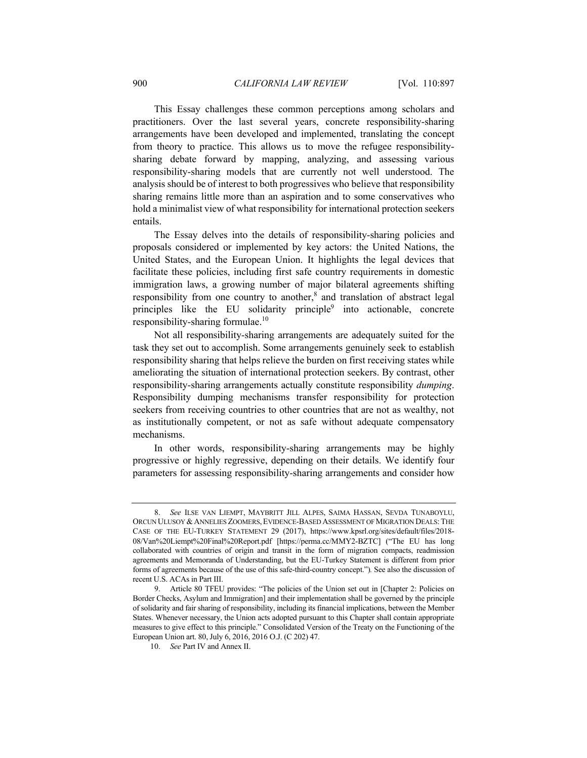This Essay challenges these common perceptions among scholars and practitioners. Over the last several years, concrete responsibility-sharing arrangements have been developed and implemented, translating the concept from theory to practice. This allows us to move the refugee responsibilitysharing debate forward by mapping, analyzing, and assessing various responsibility-sharing models that are currently not well understood. The analysis should be of interest to both progressives who believe that responsibility sharing remains little more than an aspiration and to some conservatives who hold a minimalist view of what responsibility for international protection seekers entails.

The Essay delves into the details of responsibility-sharing policies and proposals considered or implemented by key actors: the United Nations, the United States, and the European Union. It highlights the legal devices that facilitate these policies, including first safe country requirements in domestic immigration laws, a growing number of major bilateral agreements shifting responsibility from one country to another, $\frac{8}{3}$  and translation of abstract legal principles like the EU solidarity principle $9$  into actionable, concrete responsibility-sharing formulae.<sup>10</sup>

Not all responsibility-sharing arrangements are adequately suited for the task they set out to accomplish. Some arrangements genuinely seek to establish responsibility sharing that helps relieve the burden on first receiving states while ameliorating the situation of international protection seekers. By contrast, other responsibility-sharing arrangements actually constitute responsibility *dumping*. Responsibility dumping mechanisms transfer responsibility for protection seekers from receiving countries to other countries that are not as wealthy, not as institutionally competent, or not as safe without adequate compensatory mechanisms.

In other words, responsibility-sharing arrangements may be highly progressive or highly regressive, depending on their details. We identify four parameters for assessing responsibility-sharing arrangements and consider how

<sup>8.</sup> *See* ILSE VAN LIEMPT, MAYBRITT JILL ALPES, SAIMA HASSAN, SEVDA TUNABOYLU, ORCUN ULUSOY & ANNELIES ZOOMERS, EVIDENCE-BASED ASSESSMENT OF MIGRATION DEALS: THE CASE OF THE EU-TURKEY STATEMENT 29 (2017), https://www.kpsrl.org/sites/default/files/2018- 08/Van%20Liempt%20Final%20Report.pdf [https://perma.cc/MMY2-BZTC] ("The EU has long collaborated with countries of origin and transit in the form of migration compacts, readmission agreements and Memoranda of Understanding, but the EU-Turkey Statement is different from prior forms of agreements because of the use of this safe-third-country concept.")*.* See also the discussion of recent U.S. ACAs in Part III.

<sup>9.</sup> Article 80 TFEU provides: "The policies of the Union set out in [Chapter 2: Policies on Border Checks, Asylum and Immigration] and their implementation shall be governed by the principle of solidarity and fair sharing of responsibility, including its financial implications, between the Member States. Whenever necessary, the Union acts adopted pursuant to this Chapter shall contain appropriate measures to give effect to this principle." Consolidated Version of the Treaty on the Functioning of the European Union art. 80, July 6, 2016, 2016 O.J. (C 202) 47.

<sup>10.</sup> *See* Part IV and Annex II.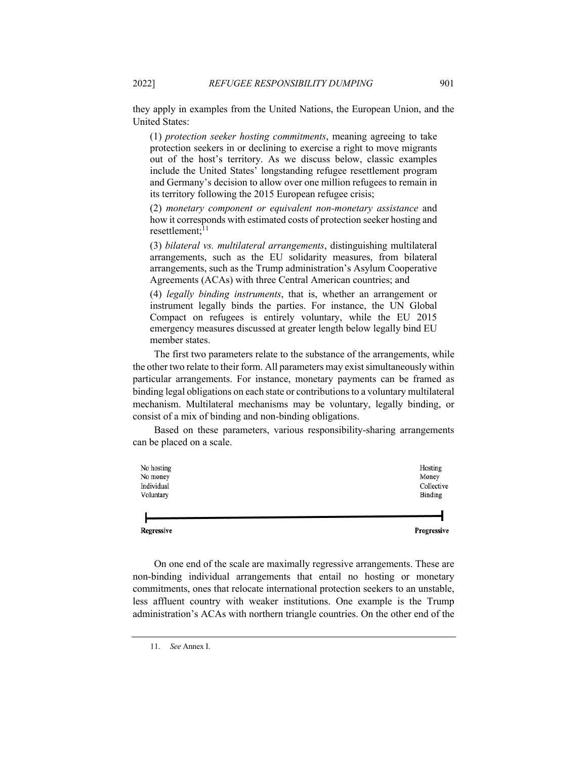they apply in examples from the United Nations, the European Union, and the United States:

(1) *protection seeker hosting commitments*, meaning agreeing to take protection seekers in or declining to exercise a right to move migrants out of the host's territory. As we discuss below, classic examples include the United States' longstanding refugee resettlement program and Germany's decision to allow over one million refugees to remain in its territory following the 2015 European refugee crisis;

(2) *monetary component or equivalent non-monetary assistance* and how it corresponds with estimated costs of protection seeker hosting and resettlement: $^{11}$ 

(3) *bilateral vs. multilateral arrangements*, distinguishing multilateral arrangements, such as the EU solidarity measures, from bilateral arrangements, such as the Trump administration's Asylum Cooperative Agreements (ACAs) with three Central American countries; and

(4) *legally binding instruments*, that is, whether an arrangement or instrument legally binds the parties. For instance, the UN Global Compact on refugees is entirely voluntary, while the EU 2015 emergency measures discussed at greater length below legally bind EU member states.

The first two parameters relate to the substance of the arrangements, while the other two relate to their form. All parameters may exist simultaneously within particular arrangements. For instance, monetary payments can be framed as binding legal obligations on each state or contributions to a voluntary multilateral mechanism. Multilateral mechanisms may be voluntary, legally binding, or consist of a mix of binding and non-binding obligations.

Based on these parameters, various responsibility-sharing arrangements can be placed on a scale.

| No hosting | Hosting    |
|------------|------------|
| No money   | Money      |
| Individual | Collective |
| Voluntary  | Binding    |
|            |            |

Progressive

On one end of the scale are maximally regressive arrangements. These are non-binding individual arrangements that entail no hosting or monetary commitments, ones that relocate international protection seekers to an unstable, less affluent country with weaker institutions. One example is the Trump administration's ACAs with northern triangle countries. On the other end of the

Regressive

<sup>11.</sup> *See* Annex I.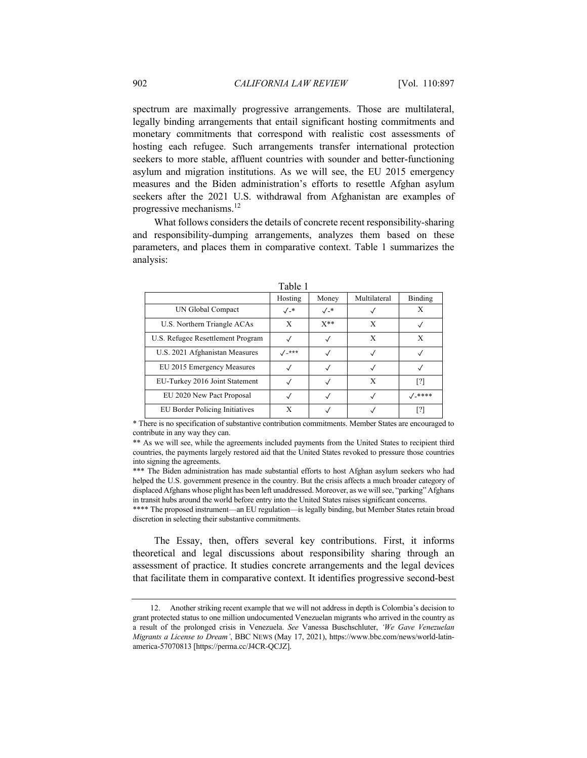spectrum are maximally progressive arrangements. Those are multilateral, legally binding arrangements that entail significant hosting commitments and monetary commitments that correspond with realistic cost assessments of hosting each refugee. Such arrangements transfer international protection seekers to more stable, affluent countries with sounder and better-functioning asylum and migration institutions. As we will see, the EU 2015 emergency measures and the Biden administration's efforts to resettle Afghan asylum seekers after the 2021 U.S. withdrawal from Afghanistan are examples of progressive mechanisms. $^{12}$ 

What follows considers the details of concrete recent responsibility-sharing and responsibility-dumping arrangements, analyzes them based on these parameters, and places them in comparative context. Table 1 summarizes the analysis:

|                                   | .                       |              |              |                 |
|-----------------------------------|-------------------------|--------------|--------------|-----------------|
|                                   | Hosting                 | Money        | Multilateral | Binding         |
| UN Global Compact                 | $\sqrt{2}$              | $\sqrt{2^*}$ |              |                 |
| U.S. Northern Triangle ACAs       | X                       | $X^**$       | X            |                 |
| U.S. Refugee Resettlement Program |                         | √            | X            | X               |
| U.S. 2021 Afghanistan Measures    | $1 - \star \star \star$ |              |              |                 |
| EU 2015 Emergency Measures        | $\checkmark$            |              |              |                 |
| EU-Turkey 2016 Joint Statement    |                         |              | X            | [?]             |
| EU 2020 New Pact Proposal         |                         |              |              | $\sqrt{2}$ **** |
| EU Border Policing Initiatives    | X                       |              |              | [?]             |

\* There is no specification of substantive contribution commitments. Member States are encouraged to contribute in any way they can.

\*\* As we will see, while the agreements included payments from the United States to recipient third countries, the payments largely restored aid that the United States revoked to pressure those countries into signing the agreements.

\*\*\* The Biden administration has made substantial efforts to host Afghan asylum seekers who had helped the U.S. government presence in the country. But the crisis affects a much broader category of displaced Afghans whose plight has been left unaddressed. Moreover, as we will see, "parking" Afghans in transit hubs around the world before entry into the United States raises significant concerns.

\*\*\*\* The proposed instrument—an EU regulation—is legally binding, but Member States retain broad discretion in selecting their substantive commitments.

The Essay, then, offers several key contributions. First, it informs theoretical and legal discussions about responsibility sharing through an assessment of practice. It studies concrete arrangements and the legal devices that facilitate them in comparative context. It identifies progressive second-best

<sup>12.</sup> Another striking recent example that we will not address in depth is Colombia's decision to grant protected status to one million undocumented Venezuelan migrants who arrived in the country as a result of the prolonged crisis in Venezuela. *See* Vanessa Buschschluter, *'We Gave Venezuelan Migrants a License to Dream'*, BBC NEWS (May 17, 2021), https://www.bbc.com/news/world-latinamerica-57070813 [https://perma.cc/J4CR-QCJZ].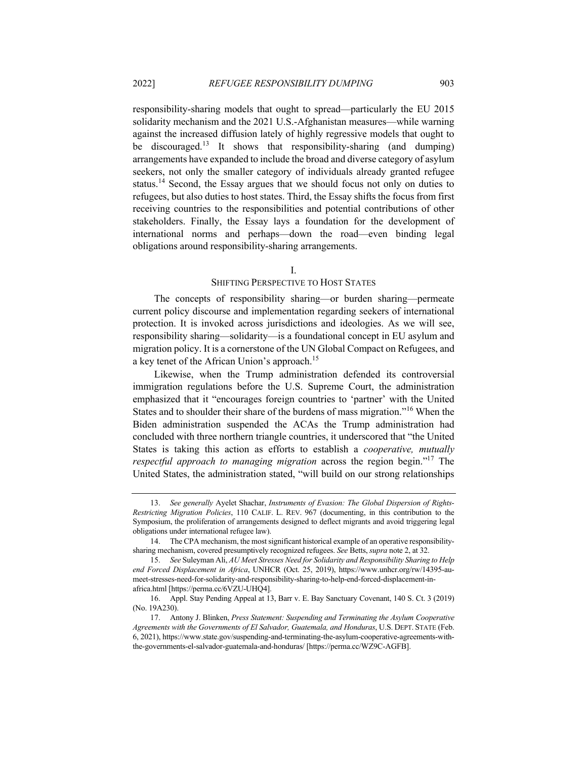responsibility-sharing models that ought to spread—particularly the EU 2015 solidarity mechanism and the 2021 U.S.-Afghanistan measures—while warning against the increased diffusion lately of highly regressive models that ought to be discouraged.<sup>13</sup> It shows that responsibility-sharing (and dumping) arrangements have expanded to include the broad and diverse category of asylum seekers, not only the smaller category of individuals already granted refugee status.<sup>14</sup> Second, the Essay argues that we should focus not only on duties to refugees, but also duties to host states. Third, the Essay shifts the focus from first receiving countries to the responsibilities and potential contributions of other stakeholders. Finally, the Essay lays a foundation for the development of international norms and perhaps—down the road—even binding legal obligations around responsibility-sharing arrangements.

#### I.

#### SHIFTING PERSPECTIVE TO HOST STATES

The concepts of responsibility sharing—or burden sharing—permeate current policy discourse and implementation regarding seekers of international protection. It is invoked across jurisdictions and ideologies. As we will see, responsibility sharing—solidarity—is a foundational concept in EU asylum and migration policy. It is a cornerstone of the UN Global Compact on Refugees, and a key tenet of the African Union's approach.<sup>15</sup>

Likewise, when the Trump administration defended its controversial immigration regulations before the U.S. Supreme Court, the administration emphasized that it "encourages foreign countries to 'partner' with the United States and to shoulder their share of the burdens of mass migration."<sup>16</sup> When the Biden administration suspended the ACAs the Trump administration had concluded with three northern triangle countries, it underscored that "the United States is taking this action as efforts to establish a *cooperative, mutually respectful approach to managing migration* across the region begin."17 The United States, the administration stated, "will build on our strong relationships

<sup>13.</sup> *See generally* Ayelet Shachar, *Instruments of Evasion: The Global Dispersion of Rights-Restricting Migration Policies*, 110 CALIF. L. REV. 967 (documenting, in this contribution to the Symposium, the proliferation of arrangements designed to deflect migrants and avoid triggering legal obligations under international refugee law).

<sup>14.</sup> The CPA mechanism, the most significant historical example of an operative responsibilitysharing mechanism, covered presumptively recognized refugees. *See* Betts, *supra* note 2, at 32.

<sup>15.</sup> *See* Suleyman Ali, *AU Meet Stresses Need for Solidarity and Responsibility Sharing to Help end Forced Displacement in Africa*, UNHCR (Oct. 25, 2019), https://www.unhcr.org/rw/14395-aumeet-stresses-need-for-solidarity-and-responsibility-sharing-to-help-end-forced-displacement-inafrica.html [https://perma.cc/6VZU-UHQ4].

<sup>16.</sup> Appl. Stay Pending Appeal at 13, Barr v. E. Bay Sanctuary Covenant, 140 S. Ct. 3 (2019) (No. 19A230).

<sup>17.</sup> Antony J. Blinken, *Press Statement: Suspending and Terminating the Asylum Cooperative Agreements with the Governments of El Salvador, Guatemala, and Honduras*, U.S. DEPT. STATE (Feb. 6, 2021), https://www.state.gov/suspending-and-terminating-the-asylum-cooperative-agreements-withthe-governments-el-salvador-guatemala-and-honduras/ [https://perma.cc/WZ9C-AGFB].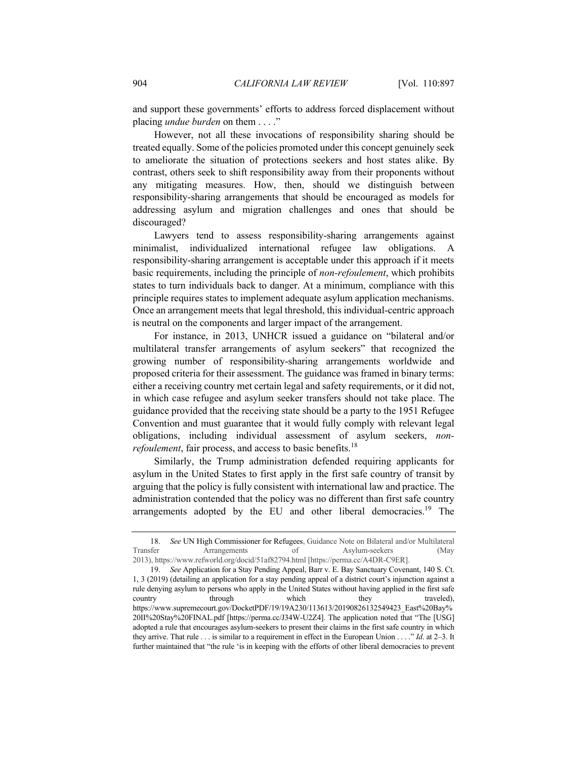and support these governments' efforts to address forced displacement without placing *undue burden* on them . . . ."

However, not all these invocations of responsibility sharing should be treated equally. Some of the policies promoted under this concept genuinely seek to ameliorate the situation of protections seekers and host states alike. By contrast, others seek to shift responsibility away from their proponents without any mitigating measures. How, then, should we distinguish between responsibility-sharing arrangements that should be encouraged as models for addressing asylum and migration challenges and ones that should be discouraged?

Lawyers tend to assess responsibility-sharing arrangements against minimalist, individualized international refugee law obligations. A responsibility-sharing arrangement is acceptable under this approach if it meets basic requirements, including the principle of *non-refoulement*, which prohibits states to turn individuals back to danger. At a minimum, compliance with this principle requires states to implement adequate asylum application mechanisms. Once an arrangement meets that legal threshold, this individual-centric approach is neutral on the components and larger impact of the arrangement.

For instance, in 2013, UNHCR issued a guidance on "bilateral and/or multilateral transfer arrangements of asylum seekers" that recognized the growing number of responsibility-sharing arrangements worldwide and proposed criteria for their assessment. The guidance was framed in binary terms: either a receiving country met certain legal and safety requirements, or it did not, in which case refugee and asylum seeker transfers should not take place. The guidance provided that the receiving state should be a party to the 1951 Refugee Convention and must guarantee that it would fully comply with relevant legal obligations, including individual assessment of asylum seekers, *nonrefoulement*, fair process, and access to basic benefits.<sup>18</sup>

Similarly, the Trump administration defended requiring applicants for asylum in the United States to first apply in the first safe country of transit by arguing that the policy is fully consistent with international law and practice. The administration contended that the policy was no different than first safe country arrangements adopted by the EU and other liberal democracies.<sup>19</sup> The

<sup>18.</sup> *See* UN High Commissioner for Refugees, Guidance Note on Bilateral and/or Multilateral Transfer Arrangements of Asylum-seekers (May 2013), https://www.refworld.org/docid/51af82794.html [https://perma.cc/A4DR-C9ER].

<sup>19.</sup> *See* Application for a Stay Pending Appeal, Barr v. E. Bay Sanctuary Covenant, 140 S. Ct. 1, 3 (2019) (detailing an application for a stay pending appeal of a district court's injunction against a rule denying asylum to persons who apply in the United States without having applied in the first safe country through which they traveled), https://www.supremecourt.gov/DocketPDF/19/19A230/113613/20190826132549423\_East%20Bay% 20II%20Stay%20FINAL.pdf [https://perma.cc/J34W-U2Z4]. The application noted that "The [USG] adopted a rule that encourages asylum-seekers to present their claims in the first safe country in which they arrive. That rule . . . is similar to a requirement in effect in the European Union . . . ." *Id*. at 2–3. It further maintained that "the rule 'is in keeping with the efforts of other liberal democracies to prevent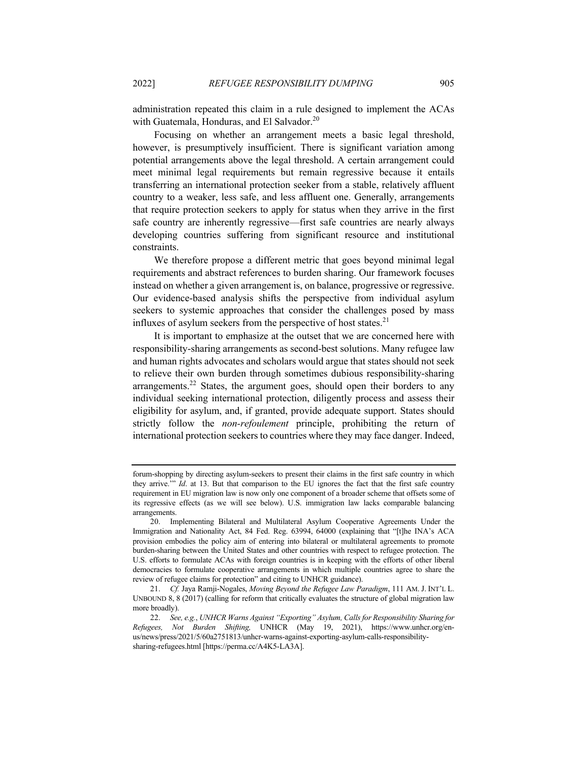administration repeated this claim in a rule designed to implement the ACAs with Guatemala, Honduras, and El Salvador.<sup>20</sup>

Focusing on whether an arrangement meets a basic legal threshold, however, is presumptively insufficient. There is significant variation among potential arrangements above the legal threshold. A certain arrangement could meet minimal legal requirements but remain regressive because it entails transferring an international protection seeker from a stable, relatively affluent country to a weaker, less safe, and less affluent one. Generally, arrangements that require protection seekers to apply for status when they arrive in the first safe country are inherently regressive—first safe countries are nearly always developing countries suffering from significant resource and institutional constraints.

We therefore propose a different metric that goes beyond minimal legal requirements and abstract references to burden sharing. Our framework focuses instead on whether a given arrangement is, on balance, progressive or regressive. Our evidence-based analysis shifts the perspective from individual asylum seekers to systemic approaches that consider the challenges posed by mass influxes of asylum seekers from the perspective of host states.<sup>21</sup>

It is important to emphasize at the outset that we are concerned here with responsibility-sharing arrangements as second-best solutions. Many refugee law and human rights advocates and scholars would argue that states should not seek to relieve their own burden through sometimes dubious responsibility-sharing arrangements.<sup>22</sup> States, the argument goes, should open their borders to any individual seeking international protection, diligently process and assess their eligibility for asylum, and, if granted, provide adequate support. States should strictly follow the *non-refoulement* principle, prohibiting the return of international protection seekers to countries where they may face danger. Indeed,

forum-shopping by directing asylum-seekers to present their claims in the first safe country in which they arrive.'" *Id*. at 13. But that comparison to the EU ignores the fact that the first safe country requirement in EU migration law is now only one component of a broader scheme that offsets some of its regressive effects (as we will see below). U.S. immigration law lacks comparable balancing arrangements.

<sup>20.</sup> Implementing Bilateral and Multilateral Asylum Cooperative Agreements Under the Immigration and Nationality Act, 84 Fed. Reg. 63994, 64000 (explaining that "[t]he INA's ACA provision embodies the policy aim of entering into bilateral or multilateral agreements to promote burden-sharing between the United States and other countries with respect to refugee protection. The U.S. efforts to formulate ACAs with foreign countries is in keeping with the efforts of other liberal democracies to formulate cooperative arrangements in which multiple countries agree to share the review of refugee claims for protection" and citing to UNHCR guidance).

<sup>21.</sup> *Cf.* Jaya Ramji-Nogales, *Moving Beyond the Refugee Law Paradigm*, 111 AM. J. INT'L L. UNBOUND 8, 8 (2017) (calling for reform that critically evaluates the structure of global migration law more broadly).

<sup>22.</sup> *See, e.g.*, *UNHCR Warns Against "Exporting" Asylum, Calls for Responsibility Sharing for Refugees, Not Burden Shifting,* UNHCR (May 19, 2021), https://www.unhcr.org/enus/news/press/2021/5/60a2751813/unhcr-warns-against-exporting-asylum-calls-responsibilitysharing-refugees.html [https://perma.cc/A4K5-LA3A].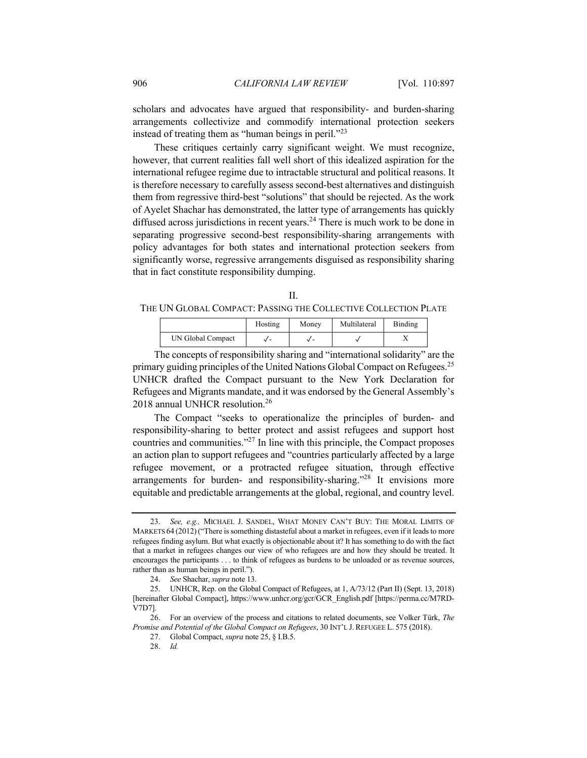scholars and advocates have argued that responsibility- and burden-sharing arrangements collectivize and commodify international protection seekers instead of treating them as "human beings in peril."<sup>23</sup>

These critiques certainly carry significant weight. We must recognize, however, that current realities fall well short of this idealized aspiration for the international refugee regime due to intractable structural and political reasons. It is therefore necessary to carefully assess second-best alternatives and distinguish them from regressive third-best "solutions" that should be rejected. As the work of Ayelet Shachar has demonstrated, the latter type of arrangements has quickly diffused across jurisdictions in recent years.<sup>24</sup> There is much work to be done in separating progressive second-best responsibility-sharing arrangements with policy advantages for both states and international protection seekers from significantly worse, regressive arrangements disguised as responsibility sharing that in fact constitute responsibility dumping.

| THE UN GLOBAL COMPACT: PASSING THE COLLECTIVE COLLECTION PLATE |
|----------------------------------------------------------------|

|                   | Hosting | Money | Multilateral | Binding |
|-------------------|---------|-------|--------------|---------|
| UN Global Compact |         |       |              |         |

The concepts of responsibility sharing and "international solidarity" are the primary guiding principles of the United Nations Global Compact on Refugees.<sup>25</sup> UNHCR drafted the Compact pursuant to the New York Declaration for Refugees and Migrants mandate, and it was endorsed by the General Assembly's 2018 annual UNHCR resolution.<sup>26</sup>

The Compact "seeks to operationalize the principles of burden- and responsibility-sharing to better protect and assist refugees and support host countries and communities."<sup>27</sup> In line with this principle, the Compact proposes an action plan to support refugees and "countries particularly affected by a large refugee movement, or a protracted refugee situation, through effective arrangements for burden- and responsibility-sharing."<sup>28</sup> It envisions more equitable and predictable arrangements at the global, regional, and country level.

<sup>23.</sup> *See, e.g.,* MICHAEL J. SANDEL, WHAT MONEY CAN'T BUY: THE MORAL LIMITS OF MARKETS 64 (2012)("There is something distasteful about a market in refugees, even if it leads to more refugees finding asylum. But what exactly is objectionable about it? It has something to do with the fact that a market in refugees changes our view of who refugees are and how they should be treated. It encourages the participants . . . to think of refugees as burdens to be unloaded or as revenue sources, rather than as human beings in peril.").

<sup>24.</sup> *See* Shachar, *supra* note 13.

<sup>25.</sup> UNHCR, Rep. on the Global Compact of Refugees, at 1, A/73/12 (Part II) (Sept. 13, 2018) [hereinafter Global Compact], https://www.unhcr.org/gcr/GCR\_English.pdf [https://perma.cc/M7RD-V7D7].

<sup>26.</sup> For an overview of the process and citations to related documents, see Volker Türk, *The Promise and Potential of the Global Compact on Refugees*, 30 INT'L J. REFUGEE L. 575 (2018).

<sup>27.</sup> Global Compact, *supra* note 25, § I.B.5.

<sup>28.</sup> *Id.*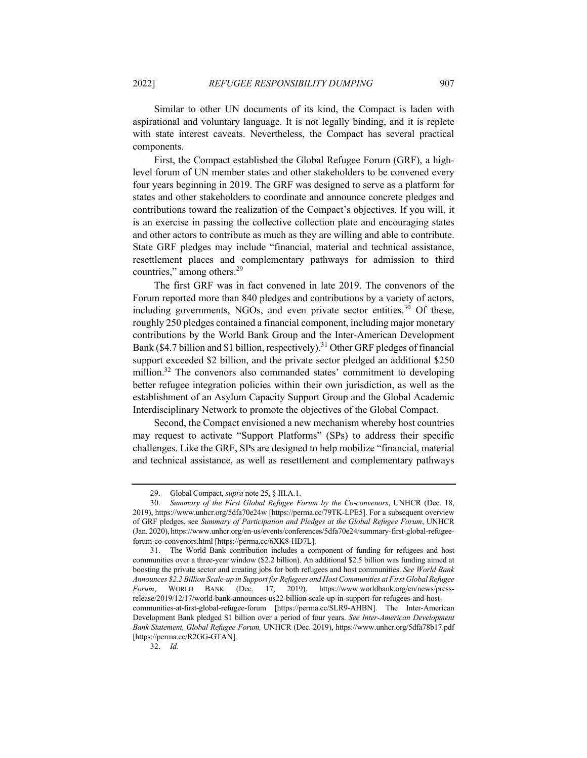Similar to other UN documents of its kind, the Compact is laden with aspirational and voluntary language. It is not legally binding, and it is replete with state interest caveats. Nevertheless, the Compact has several practical components.

First, the Compact established the Global Refugee Forum (GRF), a highlevel forum of UN member states and other stakeholders to be convened every four years beginning in 2019. The GRF was designed to serve as a platform for states and other stakeholders to coordinate and announce concrete pledges and contributions toward the realization of the Compact's objectives. If you will, it is an exercise in passing the collective collection plate and encouraging states and other actors to contribute as much as they are willing and able to contribute. State GRF pledges may include "financial, material and technical assistance, resettlement places and complementary pathways for admission to third countries," among others. $29$ 

The first GRF was in fact convened in late 2019. The convenors of the Forum reported more than 840 pledges and contributions by a variety of actors, including governments, NGOs, and even private sector entities.<sup>30</sup> Of these, roughly 250 pledges contained a financial component, including major monetary contributions by the World Bank Group and the Inter-American Development Bank (\$4.7 billion and \$1 billion, respectively).<sup>31</sup> Other GRF pledges of financial support exceeded \$2 billion, and the private sector pledged an additional \$250 million.<sup>32</sup> The convenors also commanded states' commitment to developing better refugee integration policies within their own jurisdiction, as well as the establishment of an Asylum Capacity Support Group and the Global Academic Interdisciplinary Network to promote the objectives of the Global Compact.

Second, the Compact envisioned a new mechanism whereby host countries may request to activate "Support Platforms" (SPs) to address their specific challenges. Like the GRF, SPs are designed to help mobilize "financial, material and technical assistance, as well as resettlement and complementary pathways

<sup>29.</sup> Global Compact, *supra* note 25, § III.A.1.

<sup>30.</sup> *Summary of the First Global Refugee Forum by the Co-convenors*, UNHCR (Dec. 18, 2019), https://www.unhcr.org/5dfa70e24w [https://perma.cc/79TK-LPE5]. For a subsequent overview of GRF pledges, see *Summary of Participation and Pledges at the Global Refugee Forum*, UNHCR (Jan. 2020), https://www.unhcr.org/en-us/events/conferences/5dfa70e24/summary-first-global-refugeeforum-co-convenors.html [https://perma.cc/6XK8-HD7L].

<sup>31.</sup> The World Bank contribution includes a component of funding for refugees and host communities over a three-year window (\$2.2 billion). An additional \$2.5 billion was funding aimed at boosting the private sector and creating jobs for both refugees and host communities. *See World Bank Announces \$2.2 Billion Scale-up in Support for Refugees and Host Communities at First Global Refugee Forum*, WORLD BANK (Dec. 17, 2019), https://www.worldbank.org/en/news/pressrelease/2019/12/17/world-bank-announces-us22-billion-scale-up-in-support-for-refugees-and-hostcommunities-at-first-global-refugee-forum [https://perma.cc/SLR9-AHBN]. The Inter-American Development Bank pledged \$1 billion over a period of four years. *See Inter-American Development Bank Statement, Global Refugee Forum,* UNHCR (Dec. 2019), https://www.unhcr.org/5dfa78b17.pdf [https://perma.cc/R2GG-GTAN].

<sup>32.</sup> *Id.*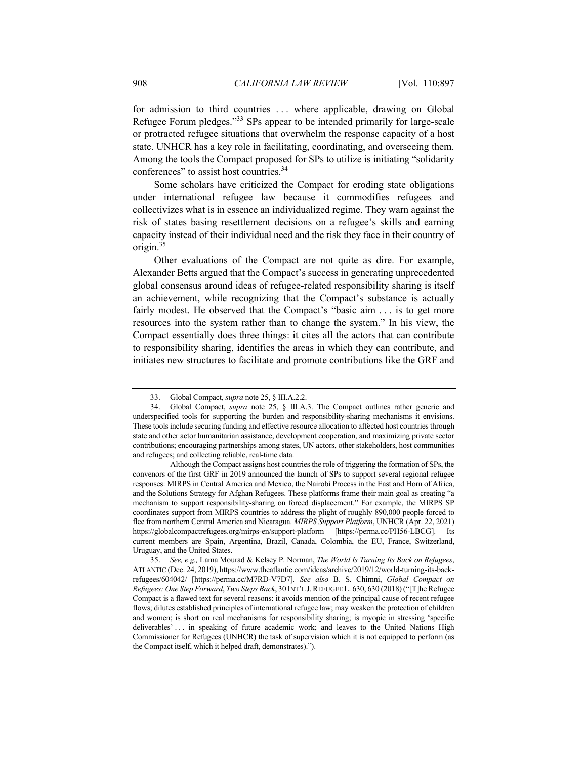for admission to third countries . . . where applicable, drawing on Global Refugee Forum pledges."<sup>33</sup> SPs appear to be intended primarily for large-scale or protracted refugee situations that overwhelm the response capacity of a host state. UNHCR has a key role in facilitating, coordinating, and overseeing them. Among the tools the Compact proposed for SPs to utilize is initiating "solidarity conferences" to assist host countries.<sup>34</sup>

Some scholars have criticized the Compact for eroding state obligations under international refugee law because it commodifies refugees and collectivizes what is in essence an individualized regime. They warn against the risk of states basing resettlement decisions on a refugee's skills and earning capacity instead of their individual need and the risk they face in their country of origin.35

Other evaluations of the Compact are not quite as dire. For example, Alexander Betts argued that the Compact's success in generating unprecedented global consensus around ideas of refugee-related responsibility sharing is itself an achievement, while recognizing that the Compact's substance is actually fairly modest. He observed that the Compact's "basic aim ... is to get more resources into the system rather than to change the system." In his view, the Compact essentially does three things: it cites all the actors that can contribute to responsibility sharing, identifies the areas in which they can contribute, and initiates new structures to facilitate and promote contributions like the GRF and

<sup>33.</sup> Global Compact, *supra* note 25, § III.A.2.2.

<sup>34.</sup> Global Compact, *supra* note 25, § III.A.3. The Compact outlines rather generic and underspecified tools for supporting the burden and responsibility-sharing mechanisms it envisions. These tools include securing funding and effective resource allocation to affected host countries through state and other actor humanitarian assistance, development cooperation, and maximizing private sector contributions; encouraging partnerships among states, UN actors, other stakeholders, host communities and refugees; and collecting reliable, real-time data.

Although the Compact assigns host countries the role of triggering the formation of SPs, the convenors of the first GRF in 2019 announced the launch of SPs to support several regional refugee responses: MIRPS in Central America and Mexico, the Nairobi Process in the East and Horn of Africa, and the Solutions Strategy for Afghan Refugees. These platforms frame their main goal as creating "a mechanism to support responsibility-sharing on forced displacement." For example, the MIRPS SP coordinates support from MIRPS countries to address the plight of roughly 890,000 people forced to flee from northern Central America and Nicaragua. *MIRPS Support Platform*, UNHCR (Apr. 22, 2021) https://globalcompactrefugees.org/mirps-en/support-platform [https://perma.cc/PH56-LBCG]. Its current members are Spain, Argentina, Brazil, Canada, Colombia, the EU, France, Switzerland, Uruguay, and the United States.

<sup>35.</sup> *See, e.g.,* Lama Mourad & Kelsey P. Norman, *The World Is Turning Its Back on Refugees*, ATLANTIC (Dec. 24, 2019), https://www.theatlantic.com/ideas/archive/2019/12/world-turning-its-backrefugees/604042/ [https://perma.cc/M7RD-V7D7]*. See also* B. S. Chimni, *Global Compact on Refugees: One Step Forward*, *Two Steps Back*, 30 INT'L J.REFUGEE L. 630, 630 (2018) ("[T]he Refugee Compact is a flawed text for several reasons: it avoids mention of the principal cause of recent refugee flows; dilutes established principles of international refugee law; may weaken the protection of children and women; is short on real mechanisms for responsibility sharing; is myopic in stressing 'specific deliverables' ... in speaking of future academic work; and leaves to the United Nations High Commissioner for Refugees (UNHCR) the task of supervision which it is not equipped to perform (as the Compact itself, which it helped draft, demonstrates).").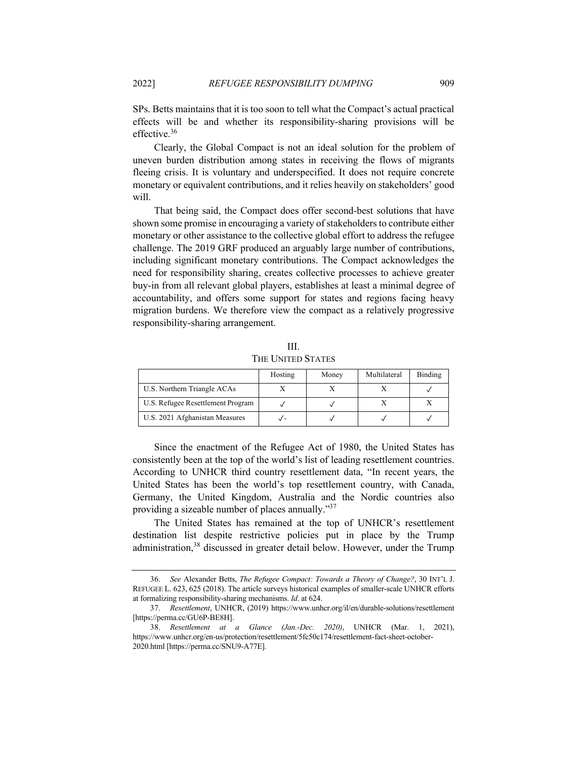SPs. Betts maintains that it is too soon to tell what the Compact's actual practical effects will be and whether its responsibility-sharing provisions will be effective.<sup>36</sup>

Clearly, the Global Compact is not an ideal solution for the problem of uneven burden distribution among states in receiving the flows of migrants fleeing crisis. It is voluntary and underspecified. It does not require concrete monetary or equivalent contributions, and it relies heavily on stakeholders' good will.

That being said, the Compact does offer second-best solutions that have shown some promise in encouraging a variety of stakeholders to contribute either monetary or other assistance to the collective global effort to address the refugee challenge. The 2019 GRF produced an arguably large number of contributions, including significant monetary contributions. The Compact acknowledges the need for responsibility sharing, creates collective processes to achieve greater buy-in from all relevant global players, establishes at least a minimal degree of accountability, and offers some support for states and regions facing heavy migration burdens. We therefore view the compact as a relatively progressive responsibility-sharing arrangement.

|                                   | Hosting | Money | Multilateral | Binding |
|-----------------------------------|---------|-------|--------------|---------|
| U.S. Northern Triangle ACAs       |         |       |              |         |
| U.S. Refugee Resettlement Program |         |       |              |         |
| U.S. 2021 Afghanistan Measures    |         |       |              |         |

III. THE UNITED STATES

Since the enactment of the Refugee Act of 1980, the United States has consistently been at the top of the world's list of leading resettlement countries. According to UNHCR third country resettlement data, "In recent years, the United States has been the world's top resettlement country, with Canada, Germany, the United Kingdom, Australia and the Nordic countries also providing a sizeable number of places annually."<sup>37</sup>

The United States has remained at the top of UNHCR's resettlement destination list despite restrictive policies put in place by the Trump administration,<sup>38</sup> discussed in greater detail below. However, under the Trump

<sup>36.</sup> *See* Alexander Betts, *The Refugee Compact: Towards a Theory of Change?*, 30 INT'L J. REFUGEE L. 623, 625 (2018). The article surveys historical examples of smaller-scale UNHCR efforts at formalizing responsibility-sharing mechanisms. *Id*. at 624.

<sup>37.</sup> *Resettlement*, UNHCR, (2019) https://www.unhcr.org/il/en/durable-solutions/resettlement [https://perma.cc/GU6P-BE8H].

<sup>38.</sup> *Resettlement at a Glance (Jan.-Dec. 2020)*, UNHCR (Mar. 1, 2021), https://www.unhcr.org/en-us/protection/resettlement/5fc50c174/resettlement-fact-sheet-october-2020.html [https://perma.cc/SNU9-A77E].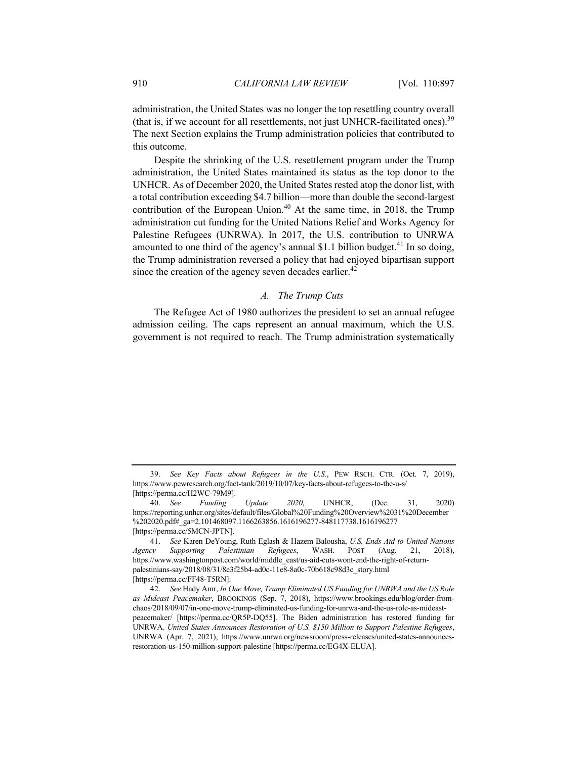administration, the United States was no longer the top resettling country overall (that is, if we account for all resettlements, not just UNHCR-facilitated ones).<sup>39</sup> The next Section explains the Trump administration policies that contributed to this outcome.

Despite the shrinking of the U.S. resettlement program under the Trump administration, the United States maintained its status as the top donor to the UNHCR. As of December 2020, the United States rested atop the donor list, with a total contribution exceeding \$4.7 billion—more than double the second-largest contribution of the European Union.<sup>40</sup> At the same time, in 2018, the Trump administration cut funding for the United Nations Relief and Works Agency for Palestine Refugees (UNRWA). In 2017, the U.S. contribution to UNRWA amounted to one third of the agency's annual \$1.1 billion budget.<sup>41</sup> In so doing, the Trump administration reversed a policy that had enjoyed bipartisan support since the creation of the agency seven decades earlier.<sup>42</sup>

## *A. The Trump Cuts*

The Refugee Act of 1980 authorizes the president to set an annual refugee admission ceiling. The caps represent an annual maximum, which the U.S. government is not required to reach. The Trump administration systematically

<sup>39.</sup> *See Key Facts about Refugees in the U.S.*, PEW RSCH. CTR. (Oct. 7, 2019), https://www.pewresearch.org/fact-tank/2019/10/07/key-facts-about-refugees-to-the-u-s/ [https://perma.cc/H2WC-79M9].

<sup>40.</sup> *See Funding Update 2020*, UNHCR, (Dec. 31, 2020) https://reporting.unhcr.org/sites/default/files/Global%20Funding%20Overview%2031%20December %202020.pdf#\_ga=2.101468097.1166263856.1616196277-848117738.1616196277 [https://perma.cc/5MCN-JPTN].

<sup>41.</sup> *See* Karen DeYoung, Ruth Eglash & Hazem Balousha, *U.S. Ends Aid to United Nations Agency Supporting Palestinian Refugees*, WASH. POST (Aug. 21, 2018), https://www.washingtonpost.com/world/middle\_east/us-aid-cuts-wont-end-the-right-of-returnpalestinians-say/2018/08/31/8e3f25b4-ad0c-11e8-8a0c-70b618c98d3c\_story.html [https://perma.cc/FF48-T5RN].

<sup>42.</sup> *See* Hady Amr, *In One Move, Trump Eliminated US Funding for UNRWA and the US Role as Mideast Peacemaker*, BROOKINGS (Sep. 7, 2018), https://www.brookings.edu/blog/order-fromchaos/2018/09/07/in-one-move-trump-eliminated-us-funding-for-unrwa-and-the-us-role-as-mideastpeacemaker/ [https://perma.cc/QR5P-DQ55]. The Biden administration has restored funding for UNRWA. *United States Announces Restoration of U.S. \$150 Million to Support Palestine Refugees*, UNRWA (Apr. 7, 2021), https://www.unrwa.org/newsroom/press-releases/united-states-announcesrestoration-us-150-million-support-palestine [https://perma.cc/EG4X-ELUA].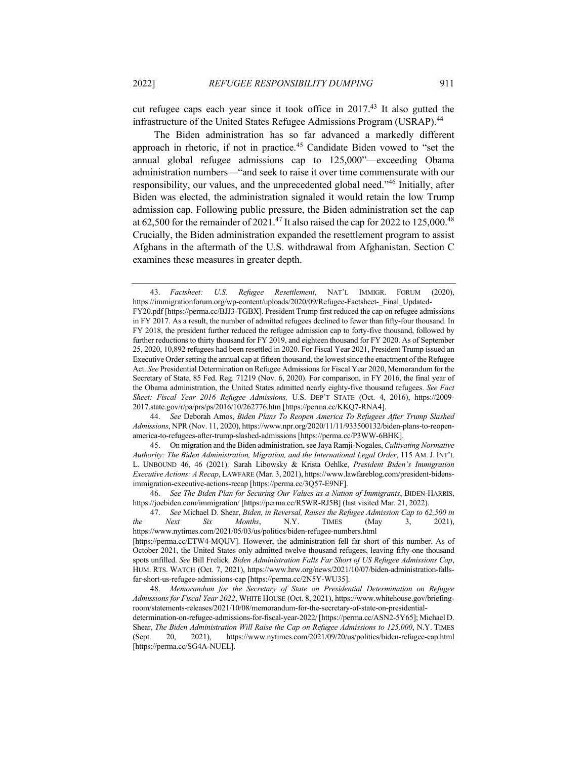cut refugee caps each year since it took office in 2017.<sup>43</sup> It also gutted the infrastructure of the United States Refugee Admissions Program (USRAP).<sup>44</sup>

The Biden administration has so far advanced a markedly different approach in rhetoric, if not in practice.<sup>45</sup> Candidate Biden vowed to "set the annual global refugee admissions cap to 125,000"—exceeding Obama administration numbers—"and seek to raise it over time commensurate with our responsibility, our values, and the unprecedented global need."<sup>46</sup> Initially, after Biden was elected, the administration signaled it would retain the low Trump admission cap. Following public pressure, the Biden administration set the cap at 62,500 for the remainder of 2021.<sup>47</sup> It also raised the cap for 2022 to 125,000.<sup>48</sup> Crucially, the Biden administration expanded the resettlement program to assist Afghans in the aftermath of the U.S. withdrawal from Afghanistan. Section C examines these measures in greater depth.

<sup>43.</sup> *Factsheet: U.S. Refugee Resettlement*, NAT'L IMMIGR. FORUM (2020), https://immigrationforum.org/wp-content/uploads/2020/09/Refugee-Factsheet- Final\_Updated-FY20.pdf [https://perma.cc/BJJ3-TGBX]. President Trump first reduced the cap on refugee admissions in FY 2017. As a result, the number of admitted refugees declined to fewer than fifty-four thousand. In FY 2018, the president further reduced the refugee admission cap to forty-five thousand, followed by further reductions to thirty thousand for FY 2019, and eighteen thousand for FY 2020. As of September 25, 2020, 10,892 refugees had been resettled in 2020. For Fiscal Year 2021, President Trump issued an Executive Order setting the annual cap at fifteen thousand, the lowest since the enactment of the Refugee Act. *See* Presidential Determination on Refugee Admissions for Fiscal Year 2020, Memorandum for the Secretary of State, 85 Fed. Reg. 71219 (Nov. 6, 2020). For comparison, in FY 2016, the final year of the Obama administration, the United States admitted nearly eighty-five thousand refugees. *See Fact Sheet: Fiscal Year 2016 Refugee Admissions,* U.S. DEP'T STATE (Oct. 4, 2016), https://2009- 2017.state.gov/r/pa/prs/ps/2016/10/262776.htm [https://perma.cc/KKQ7-RNA4].

<sup>44.</sup> *See* Deborah Amos, *Biden Plans To Reopen America To Refugees After Trump Slashed Admissions*, NPR (Nov. 11, 2020), https://www.npr.org/2020/11/11/933500132/biden-plans-to-reopenamerica-to-refugees-after-trump-slashed-admissions [https://perma.cc/P3WW-6BHK].

<sup>45.</sup> On migration and the Biden administration, see Jaya Ramji-Nogales, *Cultivating Normative Authority: The Biden Administration, Migration, and the International Legal Order*, 115 AM. J. INT'L L. UNBOUND 46, 46 (2021)*;* Sarah Libowsky & Krista Oehlke, *President Biden's Immigration Executive Actions: A Recap*, LAWFARE (Mar. 3, 2021), https://www.lawfareblog.com/president-bidensimmigration-executive-actions-recap [https://perma.cc/3Q57-E9NF].

<sup>46.</sup> *See The Biden Plan for Securing Our Values as a Nation of Immigrants*, BIDEN-HARRIS, https://joebiden.com/immigration/ [https://perma.cc/R5WR-RJ5B] (last visited Mar. 21, 2022).

<sup>47.</sup> *See* Michael D. Shear, *Biden, in Reversal, Raises the Refugee Admission Cap to 62,500 in the Next Six Months*, N.Y. TIMES (May 3, 2021), https://www.nytimes.com/2021/05/03/us/politics/biden-refugee-numbers.html [https://perma.cc/ETW4-MQUV]. However, the administration fell far short of this number. As of October 2021, the United States only admitted twelve thousand refugees, leaving fifty-one thousand spots unfilled. *See* Bill Frelick*, Biden Administration Falls Far Short of US Refugee Admissions Cap*, HUM. RTS. WATCH (Oct. 7, 2021), https://www.hrw.org/news/2021/10/07/biden-administration-fallsfar-short-us-refugee-admissions-cap [https://perma.cc/2N5Y-WU35].

<sup>48.</sup> *Memorandum for the Secretary of State on Presidential Determination on Refugee Admissions for Fiscal Year 2022*, WHITE HOUSE (Oct. 8, 2021), https://www.whitehouse.gov/briefingroom/statements-releases/2021/10/08/memorandum-for-the-secretary-of-state-on-presidentialdetermination-on-refugee-admissions-for-fiscal-year-2022/ [https://perma.cc/ASN2-5Y65]; Michael D. Shear, *The Biden Administration Will Raise the Cap on Refugee Admissions to 125,000*, N.Y. TIMES (Sept. 20, 2021), https://www.nytimes.com/2021/09/20/us/politics/biden-refugee-cap.html [https://perma.cc/SG4A-NUEL].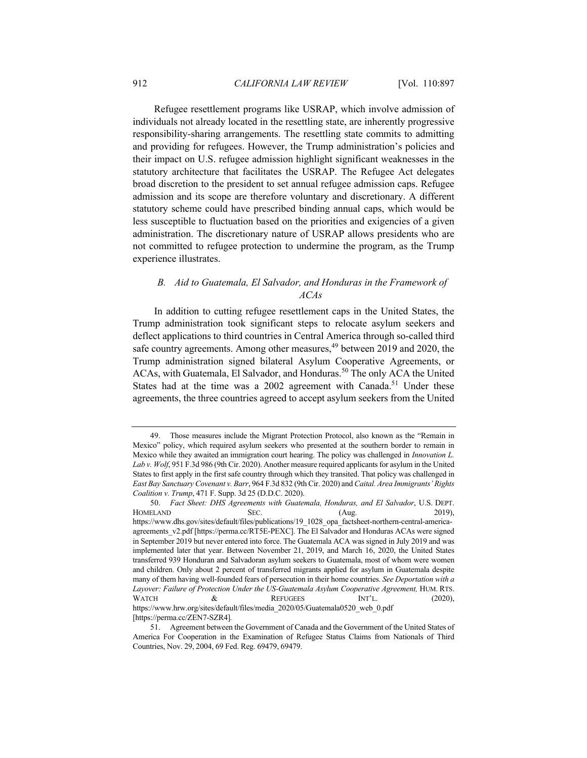Refugee resettlement programs like USRAP, which involve admission of individuals not already located in the resettling state, are inherently progressive responsibility-sharing arrangements. The resettling state commits to admitting and providing for refugees. However, the Trump administration's policies and their impact on U.S. refugee admission highlight significant weaknesses in the statutory architecture that facilitates the USRAP. The Refugee Act delegates broad discretion to the president to set annual refugee admission caps. Refugee admission and its scope are therefore voluntary and discretionary. A different statutory scheme could have prescribed binding annual caps, which would be less susceptible to fluctuation based on the priorities and exigencies of a given administration. The discretionary nature of USRAP allows presidents who are not committed to refugee protection to undermine the program, as the Trump experience illustrates.

## *B. Aid to Guatemala, El Salvador, and Honduras in the Framework of ACAs*

In addition to cutting refugee resettlement caps in the United States, the Trump administration took significant steps to relocate asylum seekers and deflect applications to third countries in Central America through so-called third safe country agreements. Among other measures,  $49$  between 2019 and 2020, the Trump administration signed bilateral Asylum Cooperative Agreements, or ACAs, with Guatemala, El Salvador, and Honduras.<sup>50</sup> The only ACA the United States had at the time was a  $2002$  agreement with Canada.<sup>51</sup> Under these agreements, the three countries agreed to accept asylum seekers from the United

<sup>49.</sup> Those measures include the Migrant Protection Protocol, also known as the "Remain in Mexico" policy, which required asylum seekers who presented at the southern border to remain in Mexico while they awaited an immigration court hearing. The policy was challenged in *Innovation L. Lab v. Wolf*, 951 F.3d 986 (9th Cir. 2020). Another measure required applicants for asylum in the United States to first apply in the first safe country through which they transited. That policy was challenged in *East Bay Sanctuary Covenant v. Barr*, 964 F.3d 832 (9th Cir. 2020) and *Caital. Area Immigrants' Rights Coalition v. Trump*, 471 F. Supp. 3d 25 (D.D.C. 2020).

<sup>50.</sup> *Fact Sheet: DHS Agreements with Guatemala, Honduras, and El Salvador*, U.S. DEPT. HOMELAND SEC. (Aug. 2019), https://www.dhs.gov/sites/default/files/publications/19\_1028\_opa\_factsheet-northern-central-americaagreements v2.pdf [https://perma.cc/RT5E-PEXC]. The El Salvador and Honduras ACAs were signed in September 2019 but never entered into force. The Guatemala ACA was signed in July 2019 and was implemented later that year. Between November 21, 2019, and March 16, 2020, the United States transferred 939 Honduran and Salvadoran asylum seekers to Guatemala, most of whom were women and children. Only about 2 percent of transferred migrants applied for asylum in Guatemala despite many of them having well-founded fears of persecution in their home countries. *See Deportation with a*  Layover: Failure of Protection Under the US-Guatemala Asylum Cooperative Agreement, HUM. RTS. WATCH  $\&$  REFUGEES INT'L. (2020), https://www.hrw.org/sites/default/files/media\_2020/05/Guatemala0520\_web\_0.pdf [https://perma.cc/ZEN7-SZR4]*.*

<sup>51.</sup> Agreement between the Government of Canada and the Government of the United States of America For Cooperation in the Examination of Refugee Status Claims from Nationals of Third Countries, Nov. 29, 2004, 69 Fed. Reg. 69479, 69479.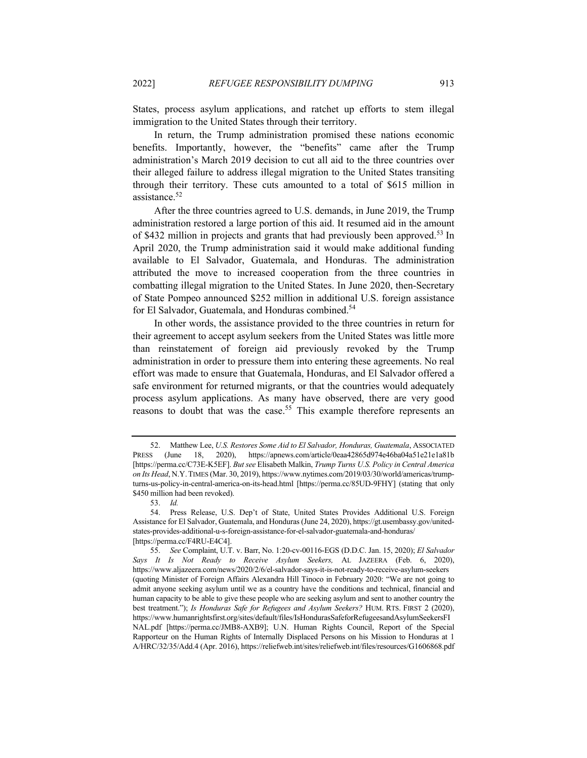States, process asylum applications, and ratchet up efforts to stem illegal immigration to the United States through their territory.

In return, the Trump administration promised these nations economic benefits. Importantly, however, the "benefits" came after the Trump administration's March 2019 decision to cut all aid to the three countries over their alleged failure to address illegal migration to the United States transiting through their territory. These cuts amounted to a total of \$615 million in assistance.<sup>52</sup>

After the three countries agreed to U.S. demands, in June 2019, the Trump administration restored a large portion of this aid. It resumed aid in the amount of \$432 million in projects and grants that had previously been approved.<sup>53</sup> In April 2020, the Trump administration said it would make additional funding available to El Salvador, Guatemala, and Honduras. The administration attributed the move to increased cooperation from the three countries in combatting illegal migration to the United States. In June 2020, then-Secretary of State Pompeo announced \$252 million in additional U.S. foreign assistance for El Salvador, Guatemala, and Honduras combined.<sup>54</sup>

In other words, the assistance provided to the three countries in return for their agreement to accept asylum seekers from the United States was little more than reinstatement of foreign aid previously revoked by the Trump administration in order to pressure them into entering these agreements. No real effort was made to ensure that Guatemala, Honduras, and El Salvador offered a safe environment for returned migrants, or that the countries would adequately process asylum applications. As many have observed, there are very good reasons to doubt that was the case.<sup>55</sup> This example therefore represents an

<sup>52.</sup> Matthew Lee, *U.S. Restores Some Aid to El Salvador, Honduras, Guatemala*, ASSOCIATED PRESS (June 18, 2020), https://apnews.com/article/0eaa42865d974e46ba04a51e21e1a81b [https://perma.cc/C73E-K5EF]. *But see* Elisabeth Malkin, *Trump Turns U.S. Policy in Central America on Its Head*, N.Y.TIMES (Mar. 30, 2019), https://www.nytimes.com/2019/03/30/world/americas/trumpturns-us-policy-in-central-america-on-its-head.html [https://perma.cc/85UD-9FHY] (stating that only \$450 million had been revoked).

<sup>53.</sup> *Id.* 

<sup>54.</sup> Press Release, U.S. Dep't of State, United States Provides Additional U.S. Foreign Assistance for El Salvador, Guatemala, and Honduras (June 24, 2020), https://gt.usembassy.gov/unitedstates-provides-additional-u-s-foreign-assistance-for-el-salvador-guatemala-and-honduras/ [https://perma.cc/F4RU-E4C4].

<sup>55.</sup> *See* Complaint, U.T. v. Barr, No. 1:20-cv-00116-EGS (D.D.C. Jan. 15, 2020); *El Salvador Says It Is Not Ready to Receive Asylum Seekers,* AL JAZEERA (Feb. 6, 2020), https://www.aljazeera.com/news/2020/2/6/el-salvador-says-it-is-not-ready-to-receive-asylum-seekers (quoting Minister of Foreign Affairs Alexandra Hill Tinoco in February 2020: "We are not going to admit anyone seeking asylum until we as a country have the conditions and technical, financial and human capacity to be able to give these people who are seeking asylum and sent to another country the best treatment."); *Is Honduras Safe for Refugees and Asylum Seekers?* HUM. RTS. FIRST 2 (2020), https://www.humanrightsfirst.org/sites/default/files/IsHondurasSafeforRefugeesandAsylumSeekersFI NAL.pdf [https://perma.cc/JMB8-AXB9]; U.N. Human Rights Council, Report of the Special Rapporteur on the Human Rights of Internally Displaced Persons on his Mission to Honduras at 1 A/HRC/32/35/Add.4 (Apr. 2016), https://reliefweb.int/sites/reliefweb.int/files/resources/G1606868.pdf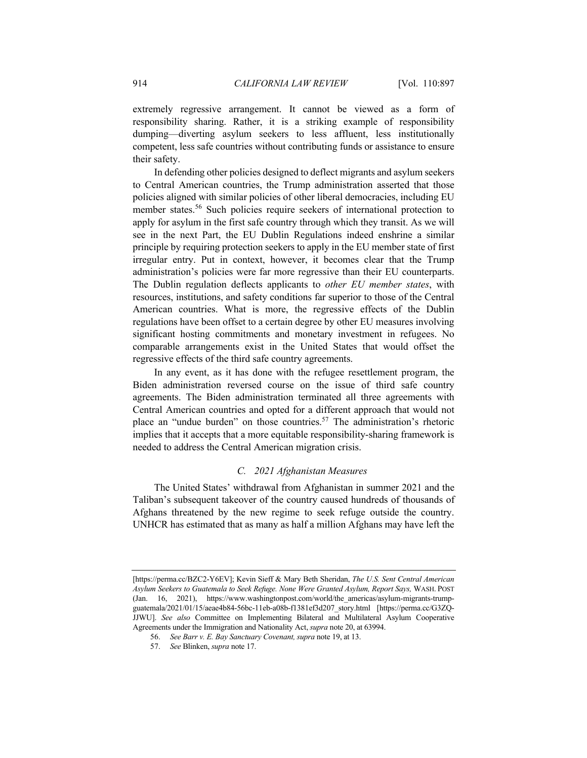extremely regressive arrangement. It cannot be viewed as a form of responsibility sharing. Rather, it is a striking example of responsibility dumping—diverting asylum seekers to less affluent, less institutionally competent, less safe countries without contributing funds or assistance to ensure their safety.

In defending other policies designed to deflect migrants and asylum seekers to Central American countries, the Trump administration asserted that those policies aligned with similar policies of other liberal democracies, including EU member states.<sup>56</sup> Such policies require seekers of international protection to apply for asylum in the first safe country through which they transit. As we will see in the next Part, the EU Dublin Regulations indeed enshrine a similar principle by requiring protection seekers to apply in the EU member state of first irregular entry. Put in context, however, it becomes clear that the Trump administration's policies were far more regressive than their EU counterparts. The Dublin regulation deflects applicants to *other EU member states*, with resources, institutions, and safety conditions far superior to those of the Central American countries. What is more, the regressive effects of the Dublin regulations have been offset to a certain degree by other EU measures involving significant hosting commitments and monetary investment in refugees. No comparable arrangements exist in the United States that would offset the regressive effects of the third safe country agreements.

In any event, as it has done with the refugee resettlement program, the Biden administration reversed course on the issue of third safe country agreements. The Biden administration terminated all three agreements with Central American countries and opted for a different approach that would not place an "undue burden" on those countries.<sup>57</sup> The administration's rhetoric implies that it accepts that a more equitable responsibility-sharing framework is needed to address the Central American migration crisis.

#### *C. 2021 Afghanistan Measures*

The United States' withdrawal from Afghanistan in summer 2021 and the Taliban's subsequent takeover of the country caused hundreds of thousands of Afghans threatened by the new regime to seek refuge outside the country. UNHCR has estimated that as many as half a million Afghans may have left the

<sup>[</sup>https://perma.cc/BZC2-Y6EV]; Kevin Sieff & Mary Beth Sheridan, *The U.S. Sent Central American Asylum Seekers to Guatemala to Seek Refuge. None Were Granted Asylum, Report Says,* WASH. POST (Jan. 16, 2021), https://www.washingtonpost.com/world/the\_americas/asylum-migrants-trumpguatemala/2021/01/15/aeae4b84-56bc-11eb-a08b-f1381ef3d207\_story.html [https://perma.cc/G3ZQ-JJWU]. *See also* Committee on Implementing Bilateral and Multilateral Asylum Cooperative Agreements under the Immigration and Nationality Act, *supra* note 20, at 63994.

<sup>56.</sup> *See Barr v. E. Bay Sanctuary Covenant, supra* note 19, at 13.

<sup>57.</sup> *See* Blinken, *supra* note 17.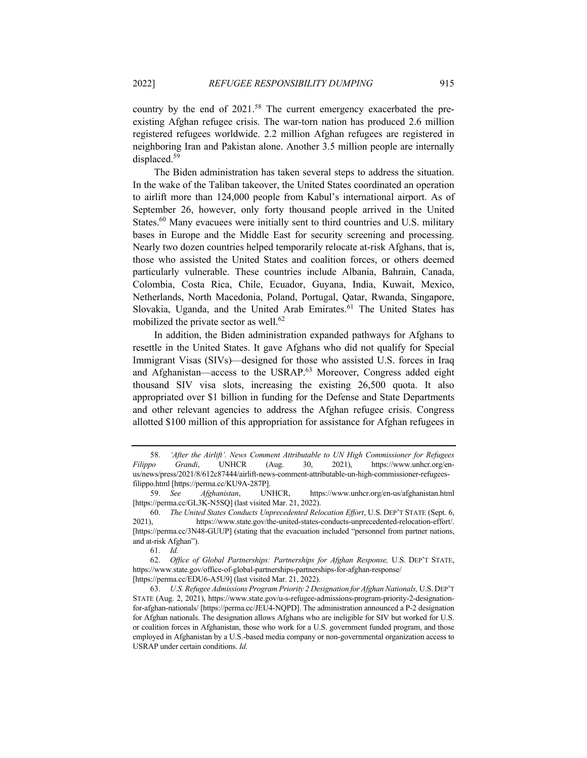country by the end of  $2021$ .<sup>58</sup> The current emergency exacerbated the preexisting Afghan refugee crisis. The war-torn nation has produced 2.6 million registered refugees worldwide. 2.2 million Afghan refugees are registered in neighboring Iran and Pakistan alone. Another 3.5 million people are internally displaced.<sup>59</sup>

The Biden administration has taken several steps to address the situation. In the wake of the Taliban takeover, the United States coordinated an operation to airlift more than 124,000 people from Kabul's international airport. As of September 26, however, only forty thousand people arrived in the United States.<sup>60</sup> Many evacuees were initially sent to third countries and U.S. military bases in Europe and the Middle East for security screening and processing. Nearly two dozen countries helped temporarily relocate at-risk Afghans, that is, those who assisted the United States and coalition forces, or others deemed particularly vulnerable. These countries include Albania, Bahrain, Canada, Colombia, Costa Rica, Chile, Ecuador, Guyana, India, Kuwait, Mexico, Netherlands, North Macedonia, Poland, Portugal, Qatar, Rwanda, Singapore, Slovakia, Uganda, and the United Arab Emirates. $61$  The United States has mobilized the private sector as well. $62$ 

In addition, the Biden administration expanded pathways for Afghans to resettle in the United States. It gave Afghans who did not qualify for Special Immigrant Visas (SIVs)—designed for those who assisted U.S. forces in Iraq and Afghanistan—access to the USRAP. $63$  Moreover, Congress added eight thousand SIV visa slots, increasing the existing 26,500 quota. It also appropriated over \$1 billion in funding for the Defense and State Departments and other relevant agencies to address the Afghan refugee crisis. Congress allotted \$100 million of this appropriation for assistance for Afghan refugees in

61. *Id.*

<sup>58.</sup> *'After the Airlift'. News Comment Attributable to UN High Commissioner for Refugees Filippo Grandi*, UNHCR (Aug. 30, 2021), https://www.unhcr.org/enus/news/press/2021/8/612c87444/airlift-news-comment-attributable-un-high-commissioner-refugeesfilippo.html [https://perma.cc/KU9A-287P].

<sup>59.</sup> *See Afghanistan*, UNHCR, https://www.unhcr.org/en-us/afghanistan.html [https://perma.cc/GL3K-N5SQ] (last visited Mar. 21, 2022).

<sup>60.</sup> *The United States Conducts Unprecedented Relocation Effort*, U.S. DEP'T STATE (Sept. 6, 2021), https://www.state.gov/the-united-states-conducts-unprecedented-relocation-effort/. [https://perma.cc/3N48-GUUP] (stating that the evacuation included "personnel from partner nations, and at-risk Afghan").

<sup>62.</sup> *Office of Global Partnerships: Partnerships for Afghan Response,* U.S. DEP'T STATE, https://www.state.gov/office-of-global-partnerships-partnerships-for-afghan-response/ [https://perma.cc/EDU6-A5U9] (last visited Mar. 21, 2022).

<sup>63.</sup> *U.S. Refugee Admissions Program Priority 2 Designation for Afghan Nationals,* U.S.DEP'T STATE (Aug. 2, 2021), https://www.state.gov/u-s-refugee-admissions-program-priority-2-designationfor-afghan-nationals/ [https://perma.cc/JEU4-NQPD]. The administration announced a P-2 designation for Afghan nationals. The designation allows Afghans who are ineligible for SIV but worked for U.S. or coalition forces in Afghanistan, those who work for a U.S. government funded program, and those employed in Afghanistan by a U.S.-based media company or non-governmental organization access to USRAP under certain conditions. *Id.*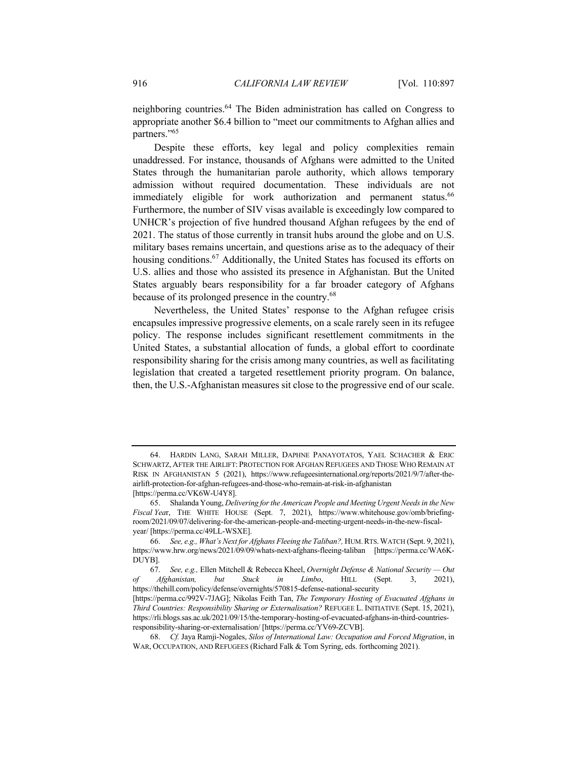neighboring countries.<sup>64</sup> The Biden administration has called on Congress to appropriate another \$6.4 billion to "meet our commitments to Afghan allies and partners."65

Despite these efforts, key legal and policy complexities remain unaddressed. For instance, thousands of Afghans were admitted to the United States through the humanitarian parole authority, which allows temporary admission without required documentation. These individuals are not immediately eligible for work authorization and permanent status.<sup>66</sup> Furthermore, the number of SIV visas available is exceedingly low compared to UNHCR's projection of five hundred thousand Afghan refugees by the end of 2021. The status of those currently in transit hubs around the globe and on U.S. military bases remains uncertain, and questions arise as to the adequacy of their housing conditions.<sup>67</sup> Additionally, the United States has focused its efforts on U.S. allies and those who assisted its presence in Afghanistan. But the United States arguably bears responsibility for a far broader category of Afghans because of its prolonged presence in the country.<sup>68</sup>

Nevertheless, the United States' response to the Afghan refugee crisis encapsules impressive progressive elements, on a scale rarely seen in its refugee policy. The response includes significant resettlement commitments in the United States, a substantial allocation of funds, a global effort to coordinate responsibility sharing for the crisis among many countries, as well as facilitating legislation that created a targeted resettlement priority program. On balance, then, the U.S.-Afghanistan measures sit close to the progressive end of our scale.

<sup>64.</sup> HARDIN LANG, SARAH MILLER, DAPHNE PANAYOTATOS, YAEL SCHACHER & ERIC SCHWARTZ, AFTER THE AIRLIFT: PROTECTION FOR AFGHAN REFUGEES AND THOSE WHO REMAIN AT RISK IN AFGHANISTAN 5 (2021), https://www.refugeesinternational.org/reports/2021/9/7/after-theairlift-protection-for-afghan-refugees-and-those-who-remain-at-risk-in-afghanistan [https://perma.cc/VK6W-U4Y8].

<sup>65.</sup> Shalanda Young, *Delivering for the American People and Meeting Urgent Needs in the New Fiscal Yea*r, THE WHITE HOUSE (Sept. 7, 2021), https://www.whitehouse.gov/omb/briefingroom/2021/09/07/delivering-for-the-american-people-and-meeting-urgent-needs-in-the-new-fiscalyear/ [https://perma.cc/49LL-WSXE].

<sup>66.</sup> *See, e.g., What's Next for Afghans Fleeing the Taliban?,* HUM.RTS.WATCH (Sept. 9, 2021), https://www.hrw.org/news/2021/09/09/whats-next-afghans-fleeing-taliban [https://perma.cc/WA6K-DUYB].

<sup>67.</sup> *See, e.g.,* Ellen Mitchell & Rebecca Kheel, *Overnight Defense & National Security — Out of Afghanistan, but Stuck in Limbo*, HILL (Sept. 3, 2021), https://thehill.com/policy/defense/overnights/570815-defense-national-security

<sup>[</sup>https://perma.cc/992V-7JAG]; Nikolas Feith Tan, *The Temporary Hosting of Evacuated Afghans in Third Countries: Responsibility Sharing or Externalisation?* REFUGEE L. INITIATIVE (Sept. 15, 2021), https://rli.blogs.sas.ac.uk/2021/09/15/the-temporary-hosting-of-evacuated-afghans-in-third-countriesresponsibility-sharing-or-externalisation/ [https://perma.cc/YV69-ZCVB].

<sup>68.</sup> *Cf.* Jaya Ramji-Nogales, *Silos of International Law: Occupation and Forced Migration*, in WAR, OCCUPATION, AND REFUGEES (Richard Falk & Tom Syring, eds. forthcoming 2021).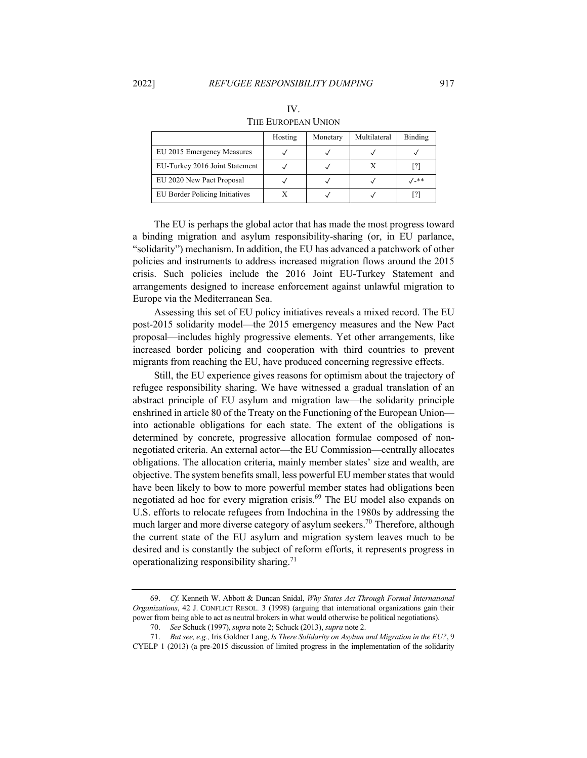|                                | Hosting | Monetary | Multilateral | Binding |
|--------------------------------|---------|----------|--------------|---------|
| EU 2015 Emergency Measures     |         |          |              |         |
| EU-Turkey 2016 Joint Statement |         |          |              | [?]     |
| EU 2020 New Pact Proposal      |         |          |              | √-**    |
| EU Border Policing Initiatives |         |          |              | [?]     |

IV. THE EUROPEAN UNION

The EU is perhaps the global actor that has made the most progress toward a binding migration and asylum responsibility-sharing (or, in EU parlance, "solidarity") mechanism. In addition, the EU has advanced a patchwork of other policies and instruments to address increased migration flows around the 2015 crisis. Such policies include the 2016 Joint EU-Turkey Statement and arrangements designed to increase enforcement against unlawful migration to Europe via the Mediterranean Sea.

Assessing this set of EU policy initiatives reveals a mixed record. The EU post-2015 solidarity model—the 2015 emergency measures and the New Pact proposal—includes highly progressive elements. Yet other arrangements, like increased border policing and cooperation with third countries to prevent migrants from reaching the EU, have produced concerning regressive effects.

Still, the EU experience gives reasons for optimism about the trajectory of refugee responsibility sharing. We have witnessed a gradual translation of an abstract principle of EU asylum and migration law—the solidarity principle enshrined in article 80 of the Treaty on the Functioning of the European Union into actionable obligations for each state. The extent of the obligations is determined by concrete, progressive allocation formulae composed of nonnegotiated criteria. An external actor—the EU Commission—centrally allocates obligations. The allocation criteria, mainly member states' size and wealth, are objective. The system benefits small, less powerful EU member states that would have been likely to bow to more powerful member states had obligations been negotiated ad hoc for every migration crisis.<sup>69</sup> The EU model also expands on U.S. efforts to relocate refugees from Indochina in the 1980s by addressing the much larger and more diverse category of asylum seekers.<sup>70</sup> Therefore, although the current state of the EU asylum and migration system leaves much to be desired and is constantly the subject of reform efforts, it represents progress in operationalizing responsibility sharing.<sup>71</sup>

<sup>69.</sup> *Cf.* Kenneth W. Abbott & Duncan Snidal, *Why States Act Through Formal International Organizations*, 42 J. CONFLICT RESOL. 3 (1998) (arguing that international organizations gain their power from being able to act as neutral brokers in what would otherwise be political negotiations).

<sup>70.</sup> *See* Schuck (1997), *supra* note 2; Schuck (2013), *supra* note 2.

<sup>71.</sup> *But see, e.g.,* Iris Goldner Lang, *Is There Solidarity on Asylum and Migration in the EU?*, 9 CYELP 1 (2013) (a pre-2015 discussion of limited progress in the implementation of the solidarity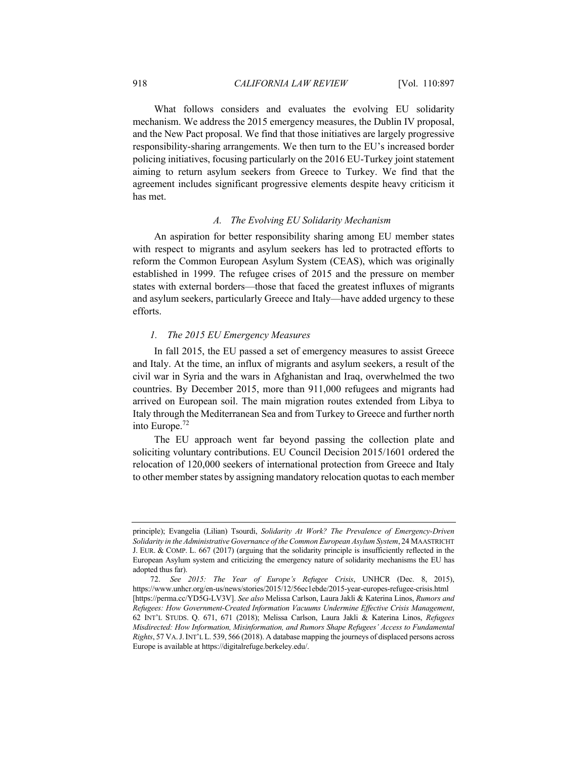What follows considers and evaluates the evolving EU solidarity mechanism. We address the 2015 emergency measures, the Dublin IV proposal, and the New Pact proposal. We find that those initiatives are largely progressive responsibility-sharing arrangements. We then turn to the EU's increased border policing initiatives, focusing particularly on the 2016 EU-Turkey joint statement aiming to return asylum seekers from Greece to Turkey. We find that the agreement includes significant progressive elements despite heavy criticism it has met.

### *A. The Evolving EU Solidarity Mechanism*

An aspiration for better responsibility sharing among EU member states with respect to migrants and asylum seekers has led to protracted efforts to reform the Common European Asylum System (CEAS), which was originally established in 1999. The refugee crises of 2015 and the pressure on member states with external borders—those that faced the greatest influxes of migrants and asylum seekers, particularly Greece and Italy—have added urgency to these efforts.

#### *1. The 2015 EU Emergency Measures*

In fall 2015, the EU passed a set of emergency measures to assist Greece and Italy. At the time, an influx of migrants and asylum seekers, a result of the civil war in Syria and the wars in Afghanistan and Iraq, overwhelmed the two countries. By December 2015, more than 911,000 refugees and migrants had arrived on European soil. The main migration routes extended from Libya to Italy through the Mediterranean Sea and from Turkey to Greece and further north into Europe.<sup>72</sup>

The EU approach went far beyond passing the collection plate and soliciting voluntary contributions. EU Council Decision 2015/1601 ordered the relocation of 120,000 seekers of international protection from Greece and Italy to other member states by assigning mandatory relocation quotas to each member

principle); Evangelia (Lilian) Tsourdi, *Solidarity At Work? The Prevalence of Emergency-Driven Solidarity in the Administrative Governance of the Common European Asylum System*, 24 MAASTRICHT J. EUR. & COMP. L. 667 (2017) (arguing that the solidarity principle is insufficiently reflected in the European Asylum system and criticizing the emergency nature of solidarity mechanisms the EU has adopted thus far).

<sup>72.</sup> *See 2015: The Year of Europe's Refugee Crisis*, UNHCR (Dec. 8, 2015), https://www.unhcr.org/en-us/news/stories/2015/12/56ec1ebde/2015-year-europes-refugee-crisis.html [https://perma.cc/YD5G-LV3V]. *See also* Melissa Carlson, Laura Jakli & Katerina Linos, *Rumors and Refugees: How Government-Created Information Vacuums Undermine Effective Crisis Management*, 62 INT'L STUDS. Q. 671, 671 (2018); Melissa Carlson, Laura Jakli & Katerina Linos, *Refugees Misdirected: How Information, Misinformation, and Rumors Shape Refugees' Access to Fundamental Rights*, 57 VA.J.INT'L L. 539, 566 (2018). A database mapping the journeys of displaced persons across Europe is available at https://digitalrefuge.berkeley.edu/.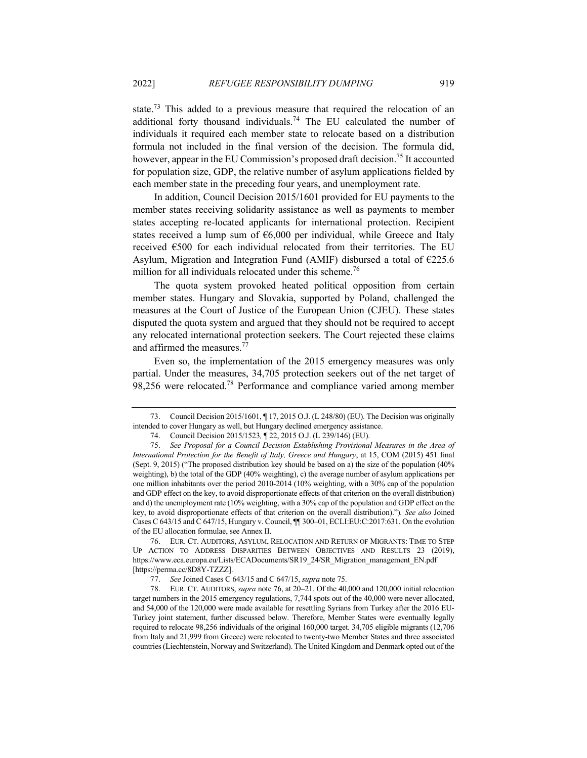state.<sup>73</sup> This added to a previous measure that required the relocation of an additional forty thousand individuals.<sup>74</sup> The EU calculated the number of individuals it required each member state to relocate based on a distribution formula not included in the final version of the decision. The formula did, however, appear in the EU Commission's proposed draft decision.<sup>75</sup> It accounted for population size, GDP, the relative number of asylum applications fielded by each member state in the preceding four years, and unemployment rate.

In addition, Council Decision 2015/1601 provided for EU payments to the member states receiving solidarity assistance as well as payments to member states accepting re-located applicants for international protection. Recipient states received a lump sum of  $66,000$  per individual, while Greece and Italy received €500 for each individual relocated from their territories. The EU Asylum, Migration and Integration Fund (AMIF) disbursed a total of  $\epsilon$ 225.6 million for all individuals relocated under this scheme.<sup>76</sup>

The quota system provoked heated political opposition from certain member states. Hungary and Slovakia, supported by Poland, challenged the measures at the Court of Justice of the European Union (CJEU). These states disputed the quota system and argued that they should not be required to accept any relocated international protection seekers. The Court rejected these claims and affirmed the measures.<sup>77</sup>

Even so, the implementation of the 2015 emergency measures was only partial. Under the measures, 34,705 protection seekers out of the net target of 98,256 were relocated.<sup>78</sup> Performance and compliance varied among member

<sup>73.</sup> Council Decision 2015/1601, ¶ 17, 2015 O.J. (L 248/80) (EU). The Decision was originally intended to cover Hungary as well, but Hungary declined emergency assistance.

<sup>74.</sup> Council Decision 2015/1523*,* ¶ 22, 2015 O.J. (L 239/146) (EU).

<sup>75.</sup> *See Proposal for a Council Decision Establishing Provisional Measures in the Area of International Protection for the Benefit of Italy, Greece and Hungary*, at 15, COM (2015) 451 final (Sept. 9, 2015) ("The proposed distribution key should be based on a) the size of the population (40% weighting), b) the total of the GDP (40% weighting), c) the average number of asylum applications per one million inhabitants over the period 2010-2014 (10% weighting, with a 30% cap of the population and GDP effect on the key, to avoid disproportionate effects of that criterion on the overall distribution) and d) the unemployment rate (10% weighting, with a 30% cap of the population and GDP effect on the key, to avoid disproportionate effects of that criterion on the overall distribution).")*. See also* Joined Cases C 643/15 and C 647/15, Hungary v. Council, ¶¶ 300–01, ECLI:EU:C:2017:631. On the evolution of the EU allocation formulae, see Annex II.

<sup>76.</sup> EUR. CT. AUDITORS, ASYLUM, RELOCATION AND RETURN OF MIGRANTS: TIME TO STEP UP ACTION TO ADDRESS DISPARITIES BETWEEN OBJECTIVES AND RESULTS 23 (2019), https://www.eca.europa.eu/Lists/ECADocuments/SR19\_24/SR\_Migration\_management\_EN.pdf [https://perma.cc/8D8Y-TZZZ].

<sup>77.</sup> *See* Joined Cases C 643/15 and C 647/15, *supra* note 75.

<sup>78.</sup> EUR. CT. AUDITORS, *supra* note 76, at 20–21. Of the 40,000 and 120,000 initial relocation target numbers in the 2015 emergency regulations, 7,744 spots out of the 40,000 were never allocated, and 54,000 of the 120,000 were made available for resettling Syrians from Turkey after the 2016 EU-Turkey joint statement, further discussed below. Therefore, Member States were eventually legally required to relocate 98,256 individuals of the original 160,000 target. 34,705 eligible migrants (12,706 from Italy and 21,999 from Greece) were relocated to twenty-two Member States and three associated countries (Liechtenstein, Norway and Switzerland). The United Kingdom and Denmark opted out of the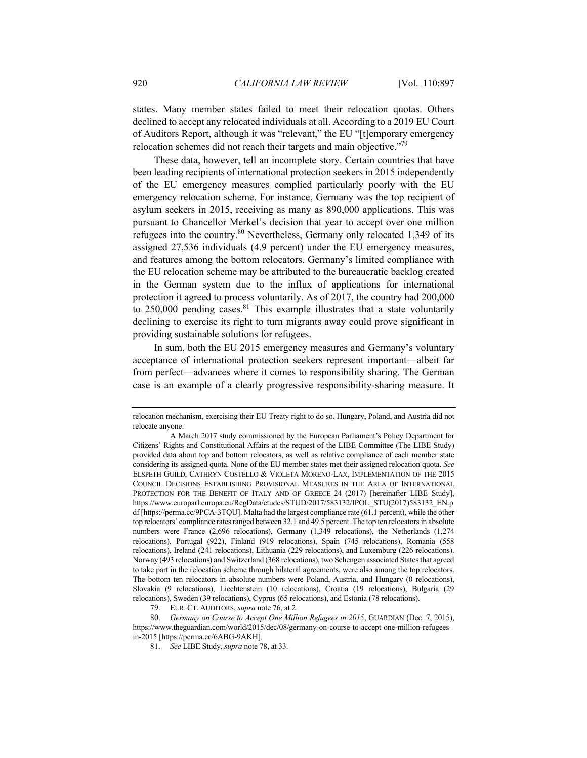states. Many member states failed to meet their relocation quotas. Others declined to accept any relocated individuals at all. According to a 2019 EU Court of Auditors Report, although it was "relevant," the EU "[t]emporary emergency relocation schemes did not reach their targets and main objective."79

These data, however, tell an incomplete story. Certain countries that have been leading recipients of international protection seekers in 2015 independently of the EU emergency measures complied particularly poorly with the EU emergency relocation scheme. For instance, Germany was the top recipient of asylum seekers in 2015, receiving as many as 890,000 applications. This was pursuant to Chancellor Merkel's decision that year to accept over one million refugees into the country.<sup>80</sup> Nevertheless, Germany only relocated 1,349 of its assigned 27,536 individuals (4.9 percent) under the EU emergency measures, and features among the bottom relocators. Germany's limited compliance with the EU relocation scheme may be attributed to the bureaucratic backlog created in the German system due to the influx of applications for international protection it agreed to process voluntarily. As of 2017, the country had 200,000 to  $250,000$  pending cases.<sup>81</sup> This example illustrates that a state voluntarily declining to exercise its right to turn migrants away could prove significant in providing sustainable solutions for refugees.

In sum, both the EU 2015 emergency measures and Germany's voluntary acceptance of international protection seekers represent important—albeit far from perfect—advances where it comes to responsibility sharing. The German case is an example of a clearly progressive responsibility-sharing measure. It

relocation mechanism, exercising their EU Treaty right to do so. Hungary, Poland, and Austria did not relocate anyone.

A March 2017 study commissioned by the European Parliament's Policy Department for Citizens' Rights and Constitutional Affairs at the request of the LIBE Committee (The LIBE Study) provided data about top and bottom relocators, as well as relative compliance of each member state considering its assigned quota. None of the EU member states met their assigned relocation quota. *See* ELSPETH GUILD, CATHRYN COSTELLO & VIOLETA MORENO-LAX, IMPLEMENTATION OF THE 2015 COUNCIL DECISIONS ESTABLISHING PROVISIONAL MEASURES IN THE AREA OF INTERNATIONAL PROTECTION FOR THE BENEFIT OF ITALY AND OF GREECE 24 (2017) [hereinafter LIBE Study], https://www.europarl.europa.eu/RegData/etudes/STUD/2017/583132/IPOL\_STU(2017)583132\_EN.p df [https://perma.cc/9PCA-3TQU]. Malta had the largest compliance rate (61.1 percent), while the other top relocators' compliance rates ranged between 32.1 and 49.5 percent. The top ten relocators in absolute numbers were France (2,696 relocations), Germany (1,349 relocations), the Netherlands (1,274 relocations), Portugal (922), Finland (919 relocations), Spain (745 relocations), Romania (558 relocations), Ireland (241 relocations), Lithuania (229 relocations), and Luxemburg (226 relocations). Norway (493 relocations) and Switzerland (368 relocations), two Schengen associated States that agreed to take part in the relocation scheme through bilateral agreements, were also among the top relocators. The bottom ten relocators in absolute numbers were Poland, Austria, and Hungary (0 relocations), Slovakia (9 relocations), Liechtenstein (10 relocations), Croatia (19 relocations), Bulgaria (29 relocations), Sweden (39 relocations), Cyprus (65 relocations), and Estonia (78 relocations).

<sup>79.</sup> EUR. CT. AUDITORS, *supra* note 76, at 2.

<sup>80.</sup> *Germany on Course to Accept One Million Refugees in 2015*, GUARDIAN (Dec. 7, 2015), https://www.theguardian.com/world/2015/dec/08/germany-on-course-to-accept-one-million-refugeesin-2015 [https://perma.cc/6ABG-9AKH]*.*

<sup>81.</sup> *See* LIBE Study, *supra* note 78, at 33.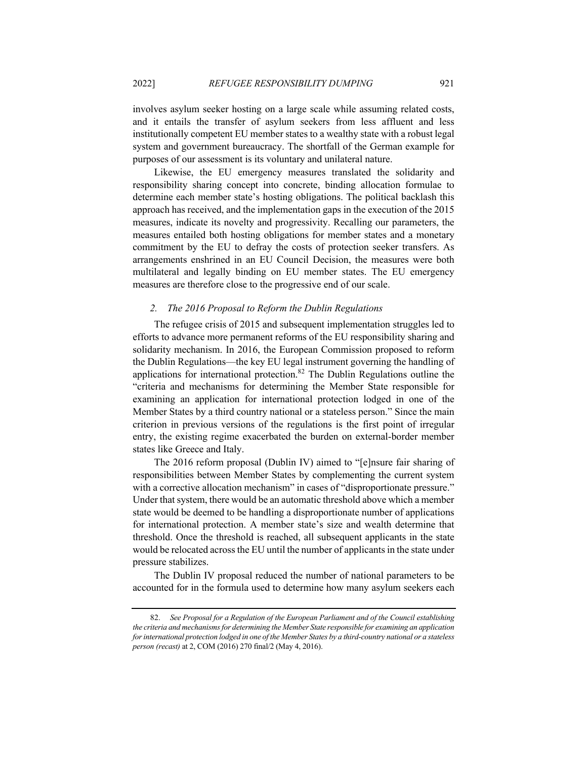involves asylum seeker hosting on a large scale while assuming related costs, and it entails the transfer of asylum seekers from less affluent and less institutionally competent EU member states to a wealthy state with a robust legal system and government bureaucracy. The shortfall of the German example for purposes of our assessment is its voluntary and unilateral nature.

Likewise, the EU emergency measures translated the solidarity and responsibility sharing concept into concrete, binding allocation formulae to determine each member state's hosting obligations. The political backlash this approach has received, and the implementation gaps in the execution of the 2015 measures, indicate its novelty and progressivity. Recalling our parameters, the measures entailed both hosting obligations for member states and a monetary commitment by the EU to defray the costs of protection seeker transfers. As arrangements enshrined in an EU Council Decision, the measures were both multilateral and legally binding on EU member states. The EU emergency measures are therefore close to the progressive end of our scale.

#### *2. The 2016 Proposal to Reform the Dublin Regulations*

The refugee crisis of 2015 and subsequent implementation struggles led to efforts to advance more permanent reforms of the EU responsibility sharing and solidarity mechanism. In 2016, the European Commission proposed to reform the Dublin Regulations—the key EU legal instrument governing the handling of applications for international protection.<sup>82</sup> The Dublin Regulations outline the "criteria and mechanisms for determining the Member State responsible for examining an application for international protection lodged in one of the Member States by a third country national or a stateless person." Since the main criterion in previous versions of the regulations is the first point of irregular entry, the existing regime exacerbated the burden on external-border member states like Greece and Italy.

The 2016 reform proposal (Dublin IV) aimed to "[e]nsure fair sharing of responsibilities between Member States by complementing the current system with a corrective allocation mechanism" in cases of "disproportionate pressure." Under that system, there would be an automatic threshold above which a member state would be deemed to be handling a disproportionate number of applications for international protection. A member state's size and wealth determine that threshold. Once the threshold is reached, all subsequent applicants in the state would be relocated across the EU until the number of applicants in the state under pressure stabilizes.

The Dublin IV proposal reduced the number of national parameters to be accounted for in the formula used to determine how many asylum seekers each

<sup>82.</sup> *See Proposal for a Regulation of the European Parliament and of the Council establishing the criteria and mechanisms for determining the Member State responsible for examining an application for international protection lodged in one of the Member States by a third-country national or a stateless person (recast)* at 2, COM (2016) 270 final/2 (May 4, 2016).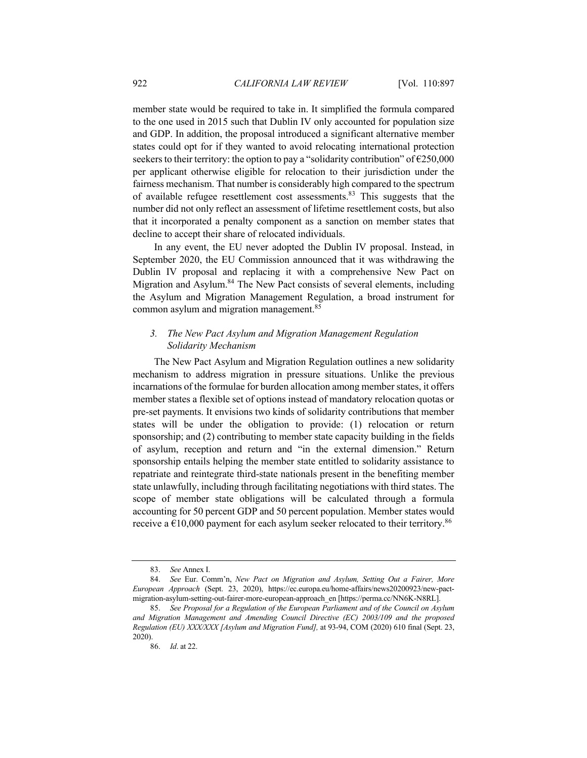member state would be required to take in. It simplified the formula compared to the one used in 2015 such that Dublin IV only accounted for population size and GDP. In addition, the proposal introduced a significant alternative member states could opt for if they wanted to avoid relocating international protection seekers to their territory: the option to pay a "solidarity contribution" of  $\epsilon$ 250,000 per applicant otherwise eligible for relocation to their jurisdiction under the fairness mechanism. That number is considerably high compared to the spectrum of available refugee resettlement cost assessments.<sup>83</sup> This suggests that the number did not only reflect an assessment of lifetime resettlement costs, but also that it incorporated a penalty component as a sanction on member states that decline to accept their share of relocated individuals.

In any event, the EU never adopted the Dublin IV proposal. Instead, in September 2020, the EU Commission announced that it was withdrawing the Dublin IV proposal and replacing it with a comprehensive New Pact on Migration and Asylum.<sup>84</sup> The New Pact consists of several elements, including the Asylum and Migration Management Regulation, a broad instrument for common asylum and migration management.<sup>85</sup>

## *3. The New Pact Asylum and Migration Management Regulation Solidarity Mechanism*

The New Pact Asylum and Migration Regulation outlines a new solidarity mechanism to address migration in pressure situations. Unlike the previous incarnations of the formulae for burden allocation among member states, it offers member states a flexible set of options instead of mandatory relocation quotas or pre-set payments. It envisions two kinds of solidarity contributions that member states will be under the obligation to provide: (1) relocation or return sponsorship; and (2) contributing to member state capacity building in the fields of asylum, reception and return and "in the external dimension." Return sponsorship entails helping the member state entitled to solidarity assistance to repatriate and reintegrate third-state nationals present in the benefiting member state unlawfully, including through facilitating negotiations with third states. The scope of member state obligations will be calculated through a formula accounting for 50 percent GDP and 50 percent population. Member states would receive a  $\epsilon$ 10,000 payment for each asylum seeker relocated to their territory.<sup>86</sup>

<sup>83.</sup> *See* Annex I.

<sup>84.</sup> *See* Eur. Comm'n, *New Pact on Migration and Asylum, Setting Out a Fairer, More European Approach* (Sept. 23, 2020), https://ec.europa.eu/home-affairs/news20200923/new-pactmigration-asylum-setting-out-fairer-more-european-approach\_en [https://perma.cc/NN6K-N8RL].

<sup>85.</sup> *See Proposal for a Regulation of the European Parliament and of the Council on Asylum and Migration Management and Amending Council Directive (EC) 2003/109 and the proposed Regulation (EU) XXX/XXX [Asylum and Migration Fund],* at 93-94, COM (2020) 610 final (Sept. 23, 2020).

<sup>86.</sup> *Id*. at 22.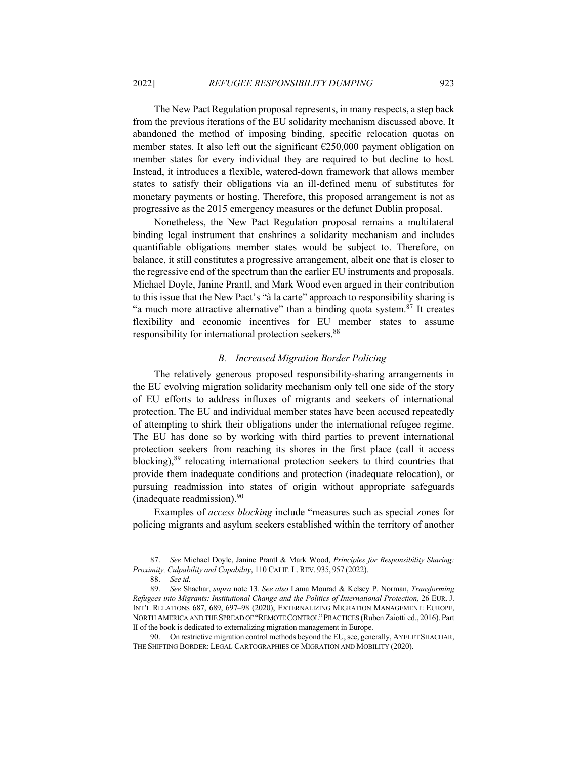The New Pact Regulation proposal represents, in many respects, a step back from the previous iterations of the EU solidarity mechanism discussed above. It abandoned the method of imposing binding, specific relocation quotas on member states. It also left out the significant €250,000 payment obligation on member states for every individual they are required to but decline to host. Instead, it introduces a flexible, watered-down framework that allows member states to satisfy their obligations via an ill-defined menu of substitutes for monetary payments or hosting. Therefore, this proposed arrangement is not as progressive as the 2015 emergency measures or the defunct Dublin proposal.

Nonetheless, the New Pact Regulation proposal remains a multilateral binding legal instrument that enshrines a solidarity mechanism and includes quantifiable obligations member states would be subject to. Therefore, on balance, it still constitutes a progressive arrangement, albeit one that is closer to the regressive end of the spectrum than the earlier EU instruments and proposals. Michael Doyle, Janine Prantl, and Mark Wood even argued in their contribution to this issue that the New Pact's "à la carte" approach to responsibility sharing is "a much more attractive alternative" than a binding quota system.  $87$  It creates flexibility and economic incentives for EU member states to assume responsibility for international protection seekers.<sup>88</sup>

## *B. Increased Migration Border Policing*

The relatively generous proposed responsibility-sharing arrangements in the EU evolving migration solidarity mechanism only tell one side of the story of EU efforts to address influxes of migrants and seekers of international protection. The EU and individual member states have been accused repeatedly of attempting to shirk their obligations under the international refugee regime. The EU has done so by working with third parties to prevent international protection seekers from reaching its shores in the first place (call it access blocking),<sup>89</sup> relocating international protection seekers to third countries that provide them inadequate conditions and protection (inadequate relocation), or pursuing readmission into states of origin without appropriate safeguards (inadequate readmission). $90$ 

Examples of *access blocking* include "measures such as special zones for policing migrants and asylum seekers established within the territory of another

<sup>87.</sup> *See* Michael Doyle, Janine Prantl & Mark Wood, *Principles for Responsibility Sharing: Proximity, Culpability and Capability*, 110 CALIF. L. REV. 935, 957 (2022).

<sup>88.</sup> *See id.* 

<sup>89.</sup> *See* Shachar, *supra* note 13*. See also* Lama Mourad & Kelsey P. Norman, *Transforming Refugees into Migrants: Institutional Change and the Politics of International Protection,* 26 EUR. J. INT'L RELATIONS 687, 689, 697–98 (2020); EXTERNALIZING MIGRATION MANAGEMENT: EUROPE, NORTH AMERICA AND THE SPREAD OF "REMOTE CONTROL"PRACTICES (Ruben Zaiotti ed., 2016). Part II of the book is dedicated to externalizing migration management in Europe.

<sup>90.</sup> On restrictive migration control methods beyond the EU, see, generally, AYELET SHACHAR, THE SHIFTING BORDER: LEGAL CARTOGRAPHIES OF MIGRATION AND MOBILITY (2020).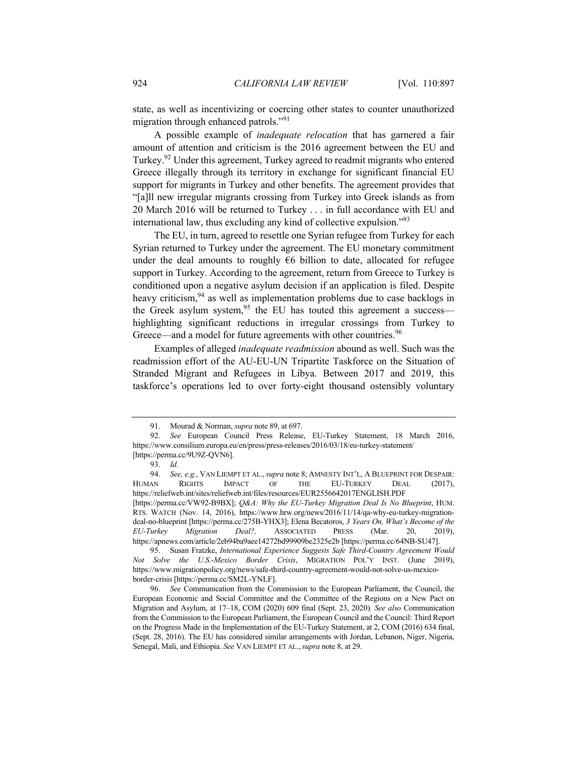state, as well as incentivizing or coercing other states to counter unauthorized migration through enhanced patrols."<sup>91</sup>

A possible example of *inadequate relocation* that has garnered a fair amount of attention and criticism is the 2016 agreement between the EU and Turkey.<sup>92</sup> Under this agreement, Turkey agreed to readmit migrants who entered Greece illegally through its territory in exchange for significant financial EU support for migrants in Turkey and other benefits. The agreement provides that "[a]ll new irregular migrants crossing from Turkey into Greek islands as from 20 March 2016 will be returned to Turkey . . . in full accordance with EU and international law, thus excluding any kind of collective expulsion."<sup>93</sup>

The EU, in turn, agreed to resettle one Syrian refugee from Turkey for each Syrian returned to Turkey under the agreement. The EU monetary commitment under the deal amounts to roughly  $\epsilon$ 6 billion to date, allocated for refugee support in Turkey. According to the agreement, return from Greece to Turkey is conditioned upon a negative asylum decision if an application is filed. Despite heavy criticism,<sup>94</sup> as well as implementation problems due to case backlogs in the Greek asylum system,  $95$  the EU has touted this agreement a success highlighting significant reductions in irregular crossings from Turkey to Greece—and a model for future agreements with other countries.<sup>96</sup>

Examples of alleged *inadequate readmission* abound as well. Such was the readmission effort of the AU-EU-UN Tripartite Taskforce on the Situation of Stranded Migrant and Refugees in Libya. Between 2017 and 2019, this taskforce's operations led to over forty-eight thousand ostensibly voluntary

<sup>91.</sup> Mourad & Norman, *supra* note 89, at 697.

<sup>92.</sup> *See* European Council Press Release, EU-Turkey Statement, 18 March 2016, https://www.consilium.europa.eu/en/press/press-releases/2016/03/18/eu-turkey-statement/ [https://perma.cc/9U9Z-QVN6].

<sup>93.</sup> *Id.*

<sup>94.</sup> *See, e.g.*, VAN LIEMPT ET AL.,*supra* note 8; AMNESTY INT'L, A BLUEPRINT FOR DESPAIR: HUMAN RIGHTS IMPACT OF THE EU-TURKEY DEAL (2017), https://reliefweb.int/sites/reliefweb.int/files/resources/EUR2556642017ENGLISH.PDF [https://perma.cc/VW92-B9BX]; *Q&A: Why the EU-Turkey Migration Deal Is No Blueprint*, HUM. RTS. WATCH (Nov. 14, 2016), https://www.hrw.org/news/2016/11/14/qa-why-eu-turkey-migrationdeal-no-blueprint [https://perma.cc/275B-YHX3]; Elena Becatoros, *3 Years On, What's Become of the EU-Turkey Migration Deal?,* ASSOCIATED PRESS (Mar. 20, 2019), https://apnews.com/article/2eb94ba9aee14272bd99909be2325e2b [https://perma.cc/64NB-SU47].

<sup>95.</sup> Susan Fratzke, *International Experience Suggests Safe Third-Country Agreement Would Not Solve the U.S.-Mexico Border Crisis*, MIGRATION POL'Y INST. (June 2019), https://www.migrationpolicy.org/news/safe-third-country-agreement-would-not-solve-us-mexicoborder-crisis [https://perma.cc/SM2L-YNLF].

<sup>96.</sup> *See* Communication from the Commission to the European Parliament, the Council, the European Economic and Social Committee and the Committee of the Regions on a New Pact on Migration and Asylum, at 17–18, COM (2020) 609 final (Sept. 23, 2020)*. See also* Communication from the Commission to the European Parliament, the European Council and the Council: Third Report on the Progress Made in the Implementation of the EU-Turkey Statement, at 2, COM (2016) 634 final, (Sept. 28, 2016). The EU has considered similar arrangements with Jordan, Lebanon, Niger, Nigeria, Senegal, Mali, and Ethiopia. *See* VAN LIEMPT ET AL.,*supra* note 8, at 29.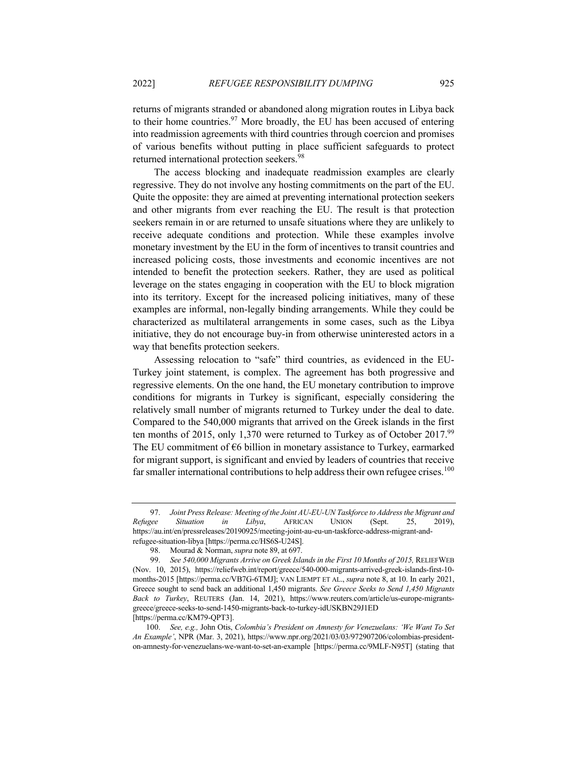returns of migrants stranded or abandoned along migration routes in Libya back to their home countries.  $97$  More broadly, the EU has been accused of entering into readmission agreements with third countries through coercion and promises of various benefits without putting in place sufficient safeguards to protect returned international protection seekers.<sup>98</sup>

The access blocking and inadequate readmission examples are clearly regressive. They do not involve any hosting commitments on the part of the EU. Quite the opposite: they are aimed at preventing international protection seekers and other migrants from ever reaching the EU. The result is that protection seekers remain in or are returned to unsafe situations where they are unlikely to receive adequate conditions and protection. While these examples involve monetary investment by the EU in the form of incentives to transit countries and increased policing costs, those investments and economic incentives are not intended to benefit the protection seekers. Rather, they are used as political leverage on the states engaging in cooperation with the EU to block migration into its territory. Except for the increased policing initiatives, many of these examples are informal, non-legally binding arrangements. While they could be characterized as multilateral arrangements in some cases, such as the Libya initiative, they do not encourage buy-in from otherwise uninterested actors in a way that benefits protection seekers.

Assessing relocation to "safe" third countries, as evidenced in the EU-Turkey joint statement, is complex. The agreement has both progressive and regressive elements. On the one hand, the EU monetary contribution to improve conditions for migrants in Turkey is significant, especially considering the relatively small number of migrants returned to Turkey under the deal to date. Compared to the 540,000 migrants that arrived on the Greek islands in the first ten months of 2015, only 1,370 were returned to Turkey as of October 2017.<sup>99</sup> The EU commitment of  $66$  billion in monetary assistance to Turkey, earmarked for migrant support, is significant and envied by leaders of countries that receive far smaller international contributions to help address their own refugee crises.<sup>100</sup>

<sup>97.</sup> *Joint Press Release: Meeting of the Joint AU-EU-UN Taskforce to Address the Migrant and Refugee Situation in Libya*, AFRICAN UNION (Sept. 25, 2019), https://au.int/en/pressreleases/20190925/meeting-joint-au-eu-un-taskforce-address-migrant-andrefugee-situation-libya [https://perma.cc/HS6S-U24S].

<sup>98.</sup> Mourad & Norman, *supra* note 89, at 697.

<sup>99.</sup> *See 540,000 Migrants Arrive on Greek Islands in the First 10 Months of 2015,* RELIEFWEB (Nov. 10, 2015), https://reliefweb.int/report/greece/540-000-migrants-arrived-greek-islands-first-10 months-2015 [https://perma.cc/VB7G-6TMJ]; VAN LIEMPT ET AL., *supra* note 8, at 10. In early 2021, Greece sought to send back an additional 1,450 migrants. *See Greece Seeks to Send 1,450 Migrants Back to Turkey*, REUTERS (Jan. 14, 2021), https://www.reuters.com/article/us-europe-migrantsgreece/greece-seeks-to-send-1450-migrants-back-to-turkey-idUSKBN29J1ED [https://perma.cc/KM79-QPT3].

<sup>100.</sup> *See, e.g.,* John Otis, *Colombia's President on Amnesty for Venezuelans: 'We Want To Set An Example'*, NPR (Mar. 3, 2021), https://www.npr.org/2021/03/03/972907206/colombias-presidenton-amnesty-for-venezuelans-we-want-to-set-an-example [https://perma.cc/9MLF-N95T] (stating that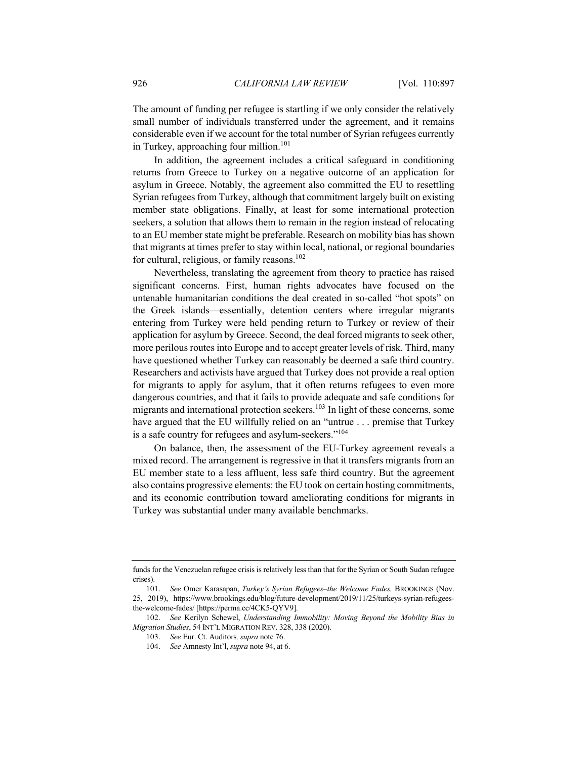The amount of funding per refugee is startling if we only consider the relatively small number of individuals transferred under the agreement, and it remains considerable even if we account for the total number of Syrian refugees currently in Turkey, approaching four million.<sup>101</sup>

In addition, the agreement includes a critical safeguard in conditioning returns from Greece to Turkey on a negative outcome of an application for asylum in Greece. Notably, the agreement also committed the EU to resettling Syrian refugees from Turkey, although that commitment largely built on existing member state obligations. Finally, at least for some international protection seekers, a solution that allows them to remain in the region instead of relocating to an EU member state might be preferable. Research on mobility bias has shown that migrants at times prefer to stay within local, national, or regional boundaries for cultural, religious, or family reasons.<sup>102</sup>

Nevertheless, translating the agreement from theory to practice has raised significant concerns. First, human rights advocates have focused on the untenable humanitarian conditions the deal created in so-called "hot spots" on the Greek islands—essentially, detention centers where irregular migrants entering from Turkey were held pending return to Turkey or review of their application for asylum by Greece. Second, the deal forced migrants to seek other, more perilous routes into Europe and to accept greater levels of risk. Third, many have questioned whether Turkey can reasonably be deemed a safe third country. Researchers and activists have argued that Turkey does not provide a real option for migrants to apply for asylum, that it often returns refugees to even more dangerous countries, and that it fails to provide adequate and safe conditions for migrants and international protection seekers.<sup>103</sup> In light of these concerns, some have argued that the EU willfully relied on an "untrue . . . premise that Turkey is a safe country for refugees and asylum-seekers."<sup>104</sup>

On balance, then, the assessment of the EU-Turkey agreement reveals a mixed record. The arrangement is regressive in that it transfers migrants from an EU member state to a less affluent, less safe third country. But the agreement also contains progressive elements: the EU took on certain hosting commitments, and its economic contribution toward ameliorating conditions for migrants in Turkey was substantial under many available benchmarks.

funds for the Venezuelan refugee crisis is relatively less than that for the Syrian or South Sudan refugee crises).

<sup>101.</sup> *See* Omer Karasapan, *Turkey's Syrian Refugees–the Welcome Fades,* BROOKINGS (Nov. 25, 2019), https://www.brookings.edu/blog/future-development/2019/11/25/turkeys-syrian-refugeesthe-welcome-fades/ [https://perma.cc/4CK5-QYV9].

<sup>102.</sup> *See* Kerilyn Schewel, *Understanding Immobility: Moving Beyond the Mobility Bias in Migration Studies*, 54 INT'L MIGRATION REV. 328, 338 (2020).

<sup>103.</sup> *See* Eur. Ct. Auditors*, supra* note 76.

<sup>104.</sup> *See* Amnesty Int'l, *supra* note 94, at 6.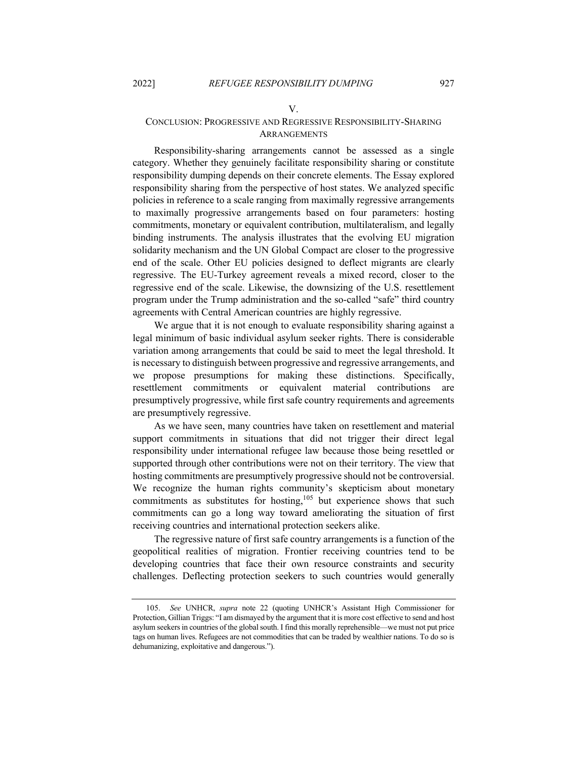## V. CONCLUSION: PROGRESSIVE AND REGRESSIVE RESPONSIBILITY-SHARING **ARRANGEMENTS**

Responsibility-sharing arrangements cannot be assessed as a single category. Whether they genuinely facilitate responsibility sharing or constitute responsibility dumping depends on their concrete elements. The Essay explored responsibility sharing from the perspective of host states. We analyzed specific policies in reference to a scale ranging from maximally regressive arrangements to maximally progressive arrangements based on four parameters: hosting commitments, monetary or equivalent contribution, multilateralism, and legally binding instruments. The analysis illustrates that the evolving EU migration solidarity mechanism and the UN Global Compact are closer to the progressive end of the scale. Other EU policies designed to deflect migrants are clearly regressive. The EU-Turkey agreement reveals a mixed record, closer to the regressive end of the scale. Likewise, the downsizing of the U.S. resettlement program under the Trump administration and the so-called "safe" third country agreements with Central American countries are highly regressive.

We argue that it is not enough to evaluate responsibility sharing against a legal minimum of basic individual asylum seeker rights. There is considerable variation among arrangements that could be said to meet the legal threshold. It is necessary to distinguish between progressive and regressive arrangements, and we propose presumptions for making these distinctions. Specifically, resettlement commitments or equivalent material contributions are presumptively progressive, while first safe country requirements and agreements are presumptively regressive.

As we have seen, many countries have taken on resettlement and material support commitments in situations that did not trigger their direct legal responsibility under international refugee law because those being resettled or supported through other contributions were not on their territory. The view that hosting commitments are presumptively progressive should not be controversial. We recognize the human rights community's skepticism about monetary commitments as substitutes for hosting, $105$  but experience shows that such commitments can go a long way toward ameliorating the situation of first receiving countries and international protection seekers alike.

The regressive nature of first safe country arrangements is a function of the geopolitical realities of migration. Frontier receiving countries tend to be developing countries that face their own resource constraints and security challenges. Deflecting protection seekers to such countries would generally

<sup>105.</sup> *See* UNHCR, *supra* note 22 (quoting UNHCR's Assistant High Commissioner for Protection, Gillian Triggs: "I am dismayed by the argument that it is more cost effective to send and host asylum seekers in countries of the global south. I find this morally reprehensible—we must not put price tags on human lives. Refugees are not commodities that can be traded by wealthier nations. To do so is dehumanizing, exploitative and dangerous.").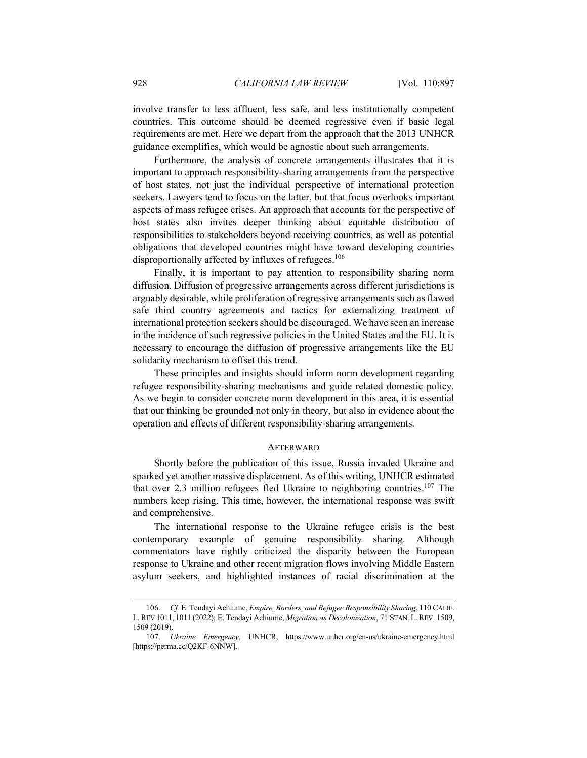involve transfer to less affluent, less safe, and less institutionally competent countries. This outcome should be deemed regressive even if basic legal requirements are met. Here we depart from the approach that the 2013 UNHCR guidance exemplifies, which would be agnostic about such arrangements.

Furthermore, the analysis of concrete arrangements illustrates that it is important to approach responsibility-sharing arrangements from the perspective of host states, not just the individual perspective of international protection seekers. Lawyers tend to focus on the latter, but that focus overlooks important aspects of mass refugee crises. An approach that accounts for the perspective of host states also invites deeper thinking about equitable distribution of responsibilities to stakeholders beyond receiving countries, as well as potential obligations that developed countries might have toward developing countries disproportionally affected by influxes of refugees.<sup>106</sup>

Finally, it is important to pay attention to responsibility sharing norm diffusion. Diffusion of progressive arrangements across different jurisdictions is arguably desirable, while proliferation of regressive arrangements such as flawed safe third country agreements and tactics for externalizing treatment of international protection seekers should be discouraged. We have seen an increase in the incidence of such regressive policies in the United States and the EU. It is necessary to encourage the diffusion of progressive arrangements like the EU solidarity mechanism to offset this trend.

These principles and insights should inform norm development regarding refugee responsibility-sharing mechanisms and guide related domestic policy. As we begin to consider concrete norm development in this area, it is essential that our thinking be grounded not only in theory, but also in evidence about the operation and effects of different responsibility-sharing arrangements.

## **AFTERWARD**

Shortly before the publication of this issue, Russia invaded Ukraine and sparked yet another massive displacement. As of this writing, UNHCR estimated that over 2.3 million refugees fled Ukraine to neighboring countries.<sup>107</sup> The numbers keep rising. This time, however, the international response was swift and comprehensive.

The international response to the Ukraine refugee crisis is the best contemporary example of genuine responsibility sharing. Although commentators have rightly criticized the disparity between the European response to Ukraine and other recent migration flows involving Middle Eastern asylum seekers, and highlighted instances of racial discrimination at the

<sup>106.</sup> *Cf.* E. Tendayi Achiume, *Empire, Borders, and Refugee Responsibility Sharing*, 110 CALIF. L. REV 1011, 1011 (2022); E. Tendayi Achiume, *Migration as Decolonization*, 71 STAN. L. REV. 1509, 1509 (2019).

<sup>107.</sup> *Ukraine Emergency*, UNHCR, https://www.unhcr.org/en-us/ukraine-emergency.html [https://perma.cc/Q2KF-6NNW].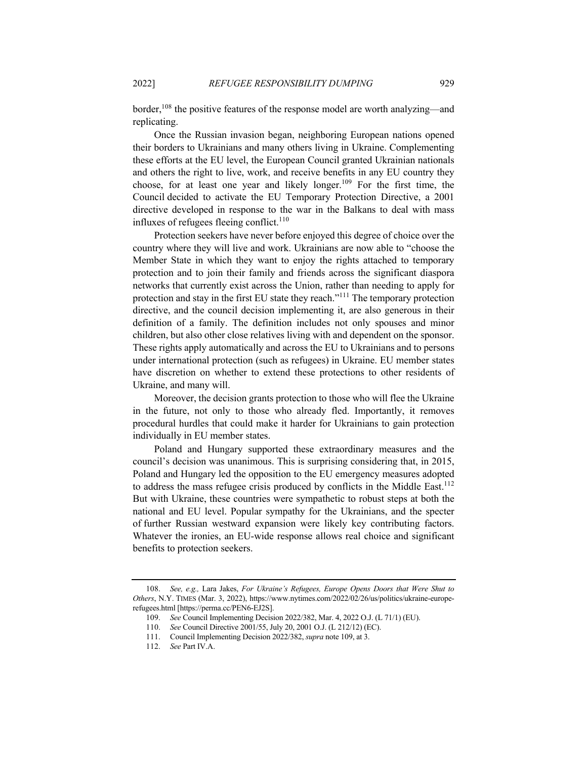border,<sup>108</sup> the positive features of the response model are worth analyzing—and replicating.

Once the Russian invasion began, neighboring European nations opened their borders to Ukrainians and many others living in Ukraine. Complementing these efforts at the EU level, the European Council granted Ukrainian nationals and others the right to live, work, and receive benefits in any EU country they choose, for at least one year and likely longer.<sup>109</sup> For the first time, the Council decided to activate the EU Temporary Protection Directive, a 2001 directive developed in response to the war in the Balkans to deal with mass influxes of refugees fleeing conflict.<sup>110</sup>

Protection seekers have never before enjoyed this degree of choice over the country where they will live and work. Ukrainians are now able to "choose the Member State in which they want to enjoy the rights attached to temporary protection and to join their family and friends across the significant diaspora networks that currently exist across the Union, rather than needing to apply for protection and stay in the first EU state they reach.<sup>"111</sup> The temporary protection directive, and the council decision implementing it, are also generous in their definition of a family. The definition includes not only spouses and minor children, but also other close relatives living with and dependent on the sponsor. These rights apply automatically and across the EU to Ukrainians and to persons under international protection (such as refugees) in Ukraine. EU member states have discretion on whether to extend these protections to other residents of Ukraine, and many will.

Moreover, the decision grants protection to those who will flee the Ukraine in the future, not only to those who already fled. Importantly, it removes procedural hurdles that could make it harder for Ukrainians to gain protection individually in EU member states.

Poland and Hungary supported these extraordinary measures and the council's decision was unanimous. This is surprising considering that, in 2015, Poland and Hungary led the opposition to the EU emergency measures adopted to address the mass refugee crisis produced by conflicts in the Middle East.<sup>112</sup> But with Ukraine, these countries were sympathetic to robust steps at both the national and EU level. Popular sympathy for the Ukrainians, and the specter of further Russian westward expansion were likely key contributing factors. Whatever the ironies, an EU-wide response allows real choice and significant benefits to protection seekers.

<sup>108.</sup> *See, e.g.,* Lara Jakes, *For Ukraine's Refugees, Europe Opens Doors that Were Shut to Others*, N.Y. TIMES (Mar. 3, 2022), https://www.nytimes.com/2022/02/26/us/politics/ukraine-europerefugees.html [https://perma.cc/PEN6-EJ2S].

<sup>109.</sup> *See* Council Implementing Decision 2022/382, Mar. 4, 2022 O.J. (L 71/1) (EU).

<sup>110.</sup> *See* Council Directive 2001/55, July 20, 2001 O.J. (L 212/12) (EC).

<sup>111.</sup> Council Implementing Decision 2022/382, *supra* note 109, at 3.

<sup>112.</sup> *See* Part IV.A.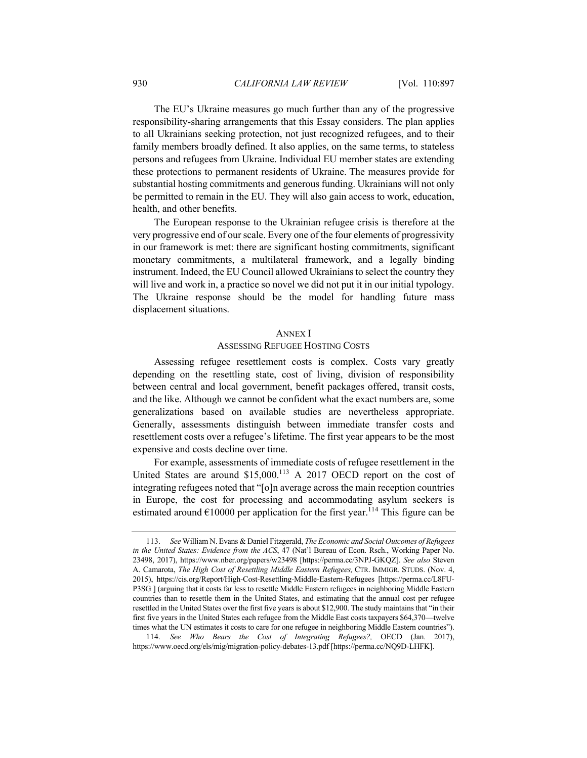The EU's Ukraine measures go much further than any of the progressive responsibility-sharing arrangements that this Essay considers. The plan applies to all Ukrainians seeking protection, not just recognized refugees, and to their family members broadly defined. It also applies, on the same terms, to stateless persons and refugees from Ukraine. Individual EU member states are extending these protections to permanent residents of Ukraine. The measures provide for substantial hosting commitments and generous funding. Ukrainians will not only be permitted to remain in the EU. They will also gain access to work, education, health, and other benefits.

The European response to the Ukrainian refugee crisis is therefore at the very progressive end of our scale. Every one of the four elements of progressivity in our framework is met: there are significant hosting commitments, significant monetary commitments, a multilateral framework, and a legally binding instrument. Indeed, the EU Council allowed Ukrainians to select the country they will live and work in, a practice so novel we did not put it in our initial typology. The Ukraine response should be the model for handling future mass displacement situations.

#### ANNEX I

#### ASSESSING REFUGEE HOSTING COSTS

Assessing refugee resettlement costs is complex. Costs vary greatly depending on the resettling state, cost of living, division of responsibility between central and local government, benefit packages offered, transit costs, and the like. Although we cannot be confident what the exact numbers are, some generalizations based on available studies are nevertheless appropriate. Generally, assessments distinguish between immediate transfer costs and resettlement costs over a refugee's lifetime. The first year appears to be the most expensive and costs decline over time.

For example, assessments of immediate costs of refugee resettlement in the United States are around  $$15,000$ .<sup>113</sup> A 2017 OECD report on the cost of integrating refugees noted that "[o]n average across the main reception countries in Europe, the cost for processing and accommodating asylum seekers is estimated around  $\epsilon$ 10000 per application for the first year.<sup>114</sup> This figure can be

114. *See Who Bears the Cost of Integrating Refugees?,* OECD (Jan. 2017), https://www.oecd.org/els/mig/migration-policy-debates-13.pdf [https://perma.cc/NQ9D-LHFK].

<sup>113.</sup> *See* William N. Evans & Daniel Fitzgerald, *The Economic and Social Outcomes of Refugees in the United States: Evidence from the ACS*, 47 (Nat'l Bureau of Econ. Rsch., Working Paper No. 23498, 2017), https://www.nber.org/papers/w23498 [https://perma.cc/3NPJ-GKQZ]. *See also* Steven A. Camarota, *The High Cost of Resettling Middle Eastern Refugees,* CTR. IMMIGR. STUDS. (Nov. 4, 2015), https://cis.org/Report/High-Cost-Resettling-Middle-Eastern-Refugees [https://perma.cc/L8FU-P3SG ] (arguing that it costs far less to resettle Middle Eastern refugees in neighboring Middle Eastern countries than to resettle them in the United States, and estimating that the annual cost per refugee resettled in the United States over the first five years is about \$12,900. The study maintains that "in their first five years in the United States each refugee from the Middle East costs taxpayers \$64,370—twelve times what the UN estimates it costs to care for one refugee in neighboring Middle Eastern countries").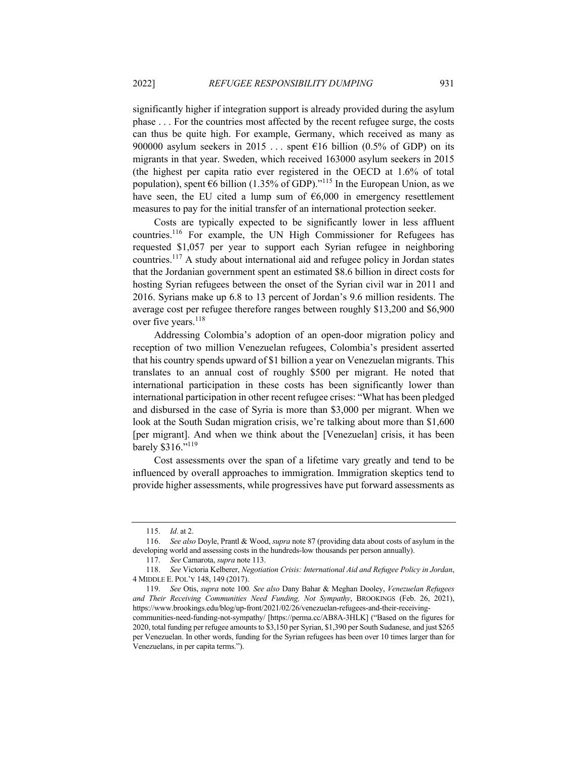significantly higher if integration support is already provided during the asylum phase . . . For the countries most affected by the recent refugee surge, the costs can thus be quite high. For example, Germany, which received as many as 900000 asylum seekers in 2015 ... spent  $E16$  billion (0.5% of GDP) on its migrants in that year. Sweden, which received 163000 asylum seekers in 2015 (the highest per capita ratio ever registered in the OECD at 1.6% of total population), spent  $66$  billion (1.35% of GDP).<sup>"115</sup> In the European Union, as we have seen, the EU cited a lump sum of  $6,000$  in emergency resettlement measures to pay for the initial transfer of an international protection seeker.

Costs are typically expected to be significantly lower in less affluent countries.116 For example, the UN High Commissioner for Refugees has requested \$1,057 per year to support each Syrian refugee in neighboring countries.<sup>117</sup> A study about international aid and refugee policy in Jordan states that the Jordanian government spent an estimated \$8.6 billion in direct costs for hosting Syrian refugees between the onset of the Syrian civil war in 2011 and 2016. Syrians make up 6.8 to 13 percent of Jordan's 9.6 million residents. The average cost per refugee therefore ranges between roughly \$13,200 and \$6,900 over five years.<sup>118</sup>

Addressing Colombia's adoption of an open-door migration policy and reception of two million Venezuelan refugees, Colombia's president asserted that his country spends upward of \$1 billion a year on Venezuelan migrants. This translates to an annual cost of roughly \$500 per migrant. He noted that international participation in these costs has been significantly lower than international participation in other recent refugee crises: "What has been pledged and disbursed in the case of Syria is more than \$3,000 per migrant. When we look at the South Sudan migration crisis, we're talking about more than \$1,600 [per migrant]. And when we think about the [Venezuelan] crisis, it has been barely \$316."<sup>119</sup>

Cost assessments over the span of a lifetime vary greatly and tend to be influenced by overall approaches to immigration. Immigration skeptics tend to provide higher assessments, while progressives have put forward assessments as

Venezuelans, in per capita terms.").

<sup>115.</sup> *Id*. at 2.

<sup>116.</sup> *See also* Doyle, Prantl & Wood, *supra* note 87 (providing data about costs of asylum in the developing world and assessing costs in the hundreds-low thousands per person annually).

<sup>117.</sup> *See* Camarota, *supra* note 113.

<sup>118.</sup> *See* Victoria Kelberer, *Negotiation Crisis: International Aid and Refugee Policy in Jordan*, 4 MIDDLE E. POL'Y 148, 149 (2017).

<sup>119.</sup> *See* Otis, *supra* note 100*. See also* Dany Bahar & Meghan Dooley, *Venezuelan Refugees and Their Receiving Communities Need Funding, Not Sympathy*, BROOKINGS (Feb. 26, 2021), https://www.brookings.edu/blog/up-front/2021/02/26/venezuelan-refugees-and-their-receivingcommunities-need-funding-not-sympathy/ [https://perma.cc/AB8A-3HLK] ("Based on the figures for 2020, total funding per refugee amounts to \$3,150 per Syrian, \$1,390 per South Sudanese, and just \$265 per Venezuelan. In other words, funding for the Syrian refugees has been over 10 times larger than for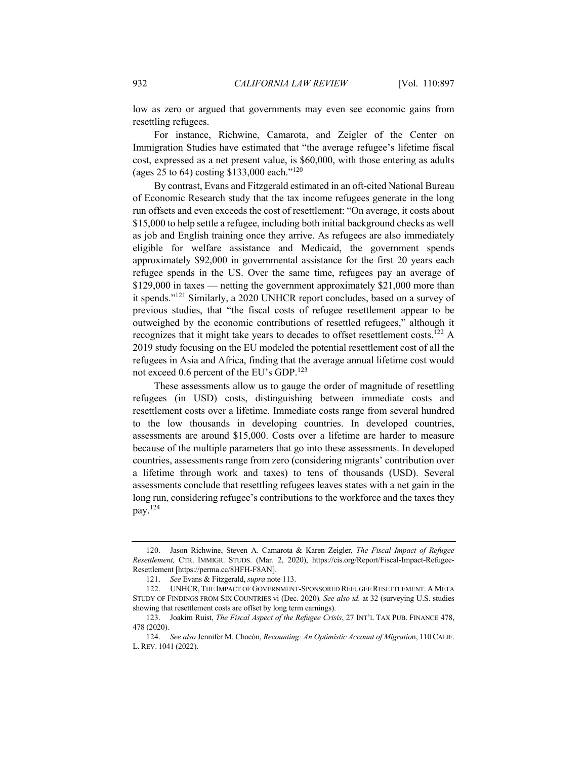low as zero or argued that governments may even see economic gains from resettling refugees.

For instance, Richwine, Camarota, and Zeigler of the Center on Immigration Studies have estimated that "the average refugee's lifetime fiscal cost, expressed as a net present value, is \$60,000, with those entering as adults (ages 25 to 64) costing \$133,000 each."<sup>120</sup>

By contrast, Evans and Fitzgerald estimated in an oft-cited National Bureau of Economic Research study that the tax income refugees generate in the long run offsets and even exceeds the cost of resettlement: "On average, it costs about \$15,000 to help settle a refugee, including both initial background checks as well as job and English training once they arrive. As refugees are also immediately eligible for welfare assistance and Medicaid, the government spends approximately \$92,000 in governmental assistance for the first 20 years each refugee spends in the US. Over the same time, refugees pay an average of \$129,000 in taxes — netting the government approximately \$21,000 more than it spends."121 Similarly, a 2020 UNHCR report concludes, based on a survey of previous studies, that "the fiscal costs of refugee resettlement appear to be outweighed by the economic contributions of resettled refugees," although it recognizes that it might take years to decades to offset resettlement costs.<sup>122</sup> A 2019 study focusing on the EU modeled the potential resettlement cost of all the refugees in Asia and Africa, finding that the average annual lifetime cost would not exceed 0.6 percent of the EU's GDP.<sup>123</sup>

These assessments allow us to gauge the order of magnitude of resettling refugees (in USD) costs, distinguishing between immediate costs and resettlement costs over a lifetime. Immediate costs range from several hundred to the low thousands in developing countries. In developed countries, assessments are around \$15,000. Costs over a lifetime are harder to measure because of the multiple parameters that go into these assessments. In developed countries, assessments range from zero (considering migrants' contribution over a lifetime through work and taxes) to tens of thousands (USD). Several assessments conclude that resettling refugees leaves states with a net gain in the long run, considering refugee's contributions to the workforce and the taxes they pay.124

<sup>120.</sup> Jason Richwine, Steven A. Camarota & Karen Zeigler, *The Fiscal Impact of Refugee Resettlement,* CTR. IMMIGR. STUDS. (Mar. 2, 2020), https://cis.org/Report/Fiscal-Impact-Refugee-Resettlement [https://perma.cc/8HFH-F8AN].

<sup>121.</sup> *See* Evans & Fitzgerald, *supra* note 113.

<sup>122.</sup> UNHCR, THE IMPACT OF GOVERNMENT-SPONSORED REFUGEE RESETTLEMENT: A META STUDY OF FINDINGS FROM SIX COUNTRIES vi (Dec. 2020)*. See also id.* at 32 (surveying U.S. studies showing that resettlement costs are offset by long term earnings).

<sup>123.</sup> Joakim Ruist, *The Fiscal Aspect of the Refugee Crisis*, 27 INT'L TAX PUB. FINANCE 478, 478 (2020).

<sup>124.</sup> *See also* Jennifer M. Chacón, *Recounting: An Optimistic Account of Migratio*n, 110 CALIF. L. REV. 1041 (2022).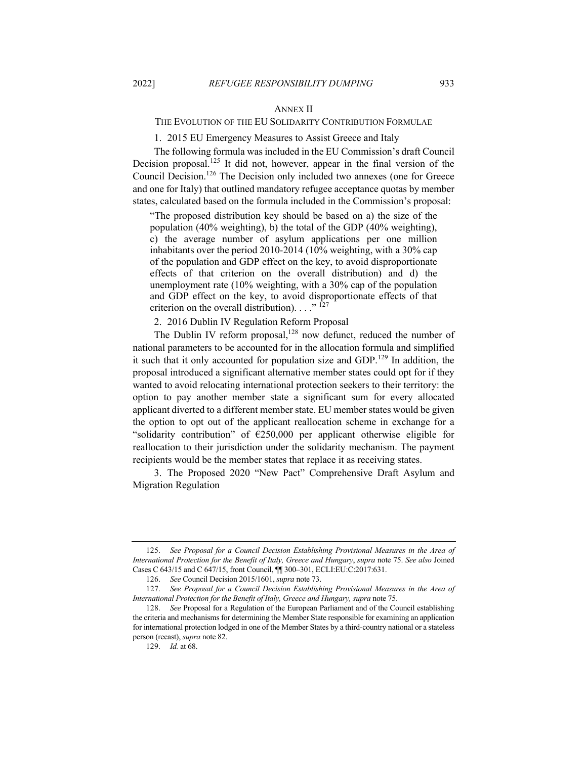## ANNEX II

## THE EVOLUTION OF THE EU SOLIDARITY CONTRIBUTION FORMULAE

1. 2015 EU Emergency Measures to Assist Greece and Italy

The following formula was included in the EU Commission's draft Council Decision proposal.<sup>125</sup> It did not, however, appear in the final version of the Council Decision.<sup>126</sup> The Decision only included two annexes (one for Greece and one for Italy) that outlined mandatory refugee acceptance quotas by member states, calculated based on the formula included in the Commission's proposal:

"The proposed distribution key should be based on a) the size of the population (40% weighting), b) the total of the GDP (40% weighting), c) the average number of asylum applications per one million inhabitants over the period 2010-2014 (10% weighting, with a 30% cap of the population and GDP effect on the key, to avoid disproportionate effects of that criterion on the overall distribution) and d) the unemployment rate (10% weighting, with a 30% cap of the population and GDP effect on the key, to avoid disproportionate effects of that criterion on the overall distribution).  $\ldots$ <sup>" 127</sup>

2. 2016 Dublin IV Regulation Reform Proposal

The Dublin IV reform proposal,<sup>128</sup> now defunct, reduced the number of national parameters to be accounted for in the allocation formula and simplified it such that it only accounted for population size and GDP.<sup>129</sup> In addition, the proposal introduced a significant alternative member states could opt for if they wanted to avoid relocating international protection seekers to their territory: the option to pay another member state a significant sum for every allocated applicant diverted to a different member state. EU member states would be given the option to opt out of the applicant reallocation scheme in exchange for a "solidarity contribution" of  $\epsilon$ 250,000 per applicant otherwise eligible for reallocation to their jurisdiction under the solidarity mechanism. The payment recipients would be the member states that replace it as receiving states.

3. The Proposed 2020 "New Pact" Comprehensive Draft Asylum and Migration Regulation

<sup>125.</sup> *See Proposal for a Council Decision Establishing Provisional Measures in the Area of International Protection for the Benefit of Italy, Greece and Hungary*, *supra* note 75. *See also* Joined Cases C 643/15 and C 647/15, front Council, ¶¶ 300–301, ECLI:EU:C:2017:631.

<sup>126.</sup> *See* Council Decision 2015/1601, *supra* note 73.

<sup>127.</sup> *See Proposal for a Council Decision Establishing Provisional Measures in the Area of International Protection for the Benefit of Italy, Greece and Hungary, supra* note 75.

<sup>128.</sup> *See* Proposal for a Regulation of the European Parliament and of the Council establishing the criteria and mechanisms for determining the Member State responsible for examining an application for international protection lodged in one of the Member States by a third-country national or a stateless person (recast), *supra* note 82.

<sup>129.</sup> *Id.* at 68.